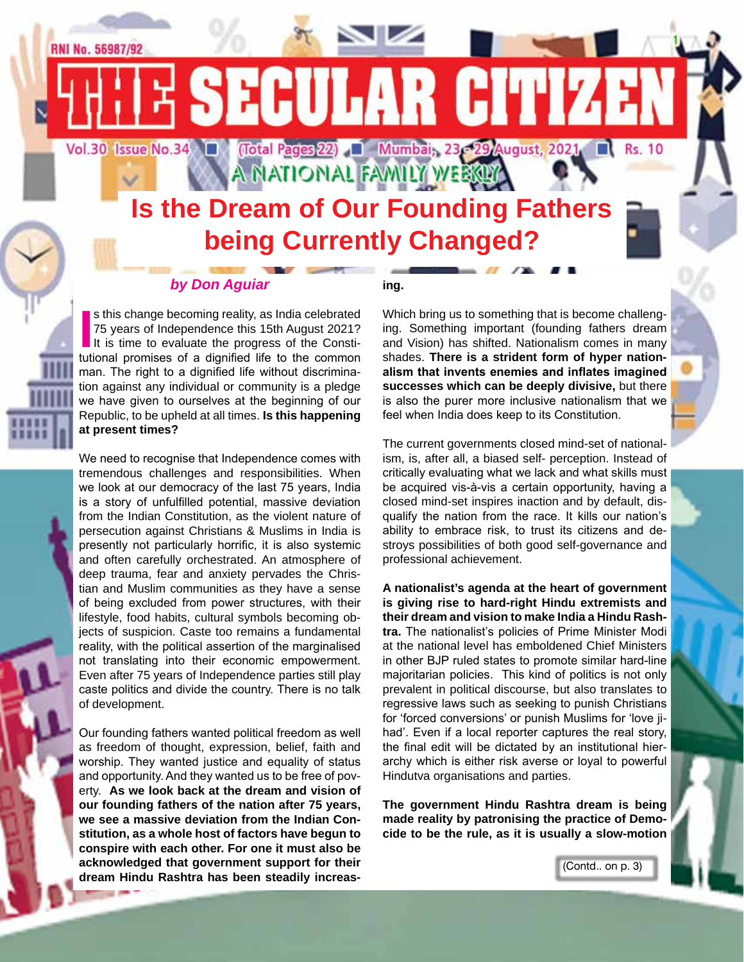

#### *by Don Aguiar*

In this change becoming reality, as India celebrated 75 years of Independence this 15th August 2021?<br>It is time to evaluate the progress of the Constitutional promises of a dignified life to the common s this change becoming reality, as India celebrated 75 years of Independence this 15th August 2021? It is time to evaluate the progress of the Constiman. The right to a dignified life without discrimination against any individual or community is a pledge we have given to ourselves at the beginning of our Republic, to be upheld at all times. **Is this happening at present times?**

We need to recognise that Independence comes with tremendous challenges and responsibilities. When we look at our democracy of the last 75 years, India is a story of unfulfilled potential, massive deviation from the Indian Constitution, as the violent nature of persecution against Christians & Muslims in India is presently not particularly horrific, it is also systemic and often carefully orchestrated. An atmosphere of deep trauma, fear and anxiety pervades the Christian and Muslim communities as they have a sense of being excluded from power structures, with their lifestyle, food habits, cultural symbols becoming objects of suspicion. Caste too remains a fundamental reality, with the political assertion of the marginalised not translating into their economic empowerment. Even after 75 years of Independence parties still play caste politics and divide the country. There is no talk of development.

Our founding fathers wanted political freedom as well as freedom of thought, expression, belief, faith and worship. They wanted justice and equality of status and opportunity. And they wanted us to be free of poverty. **As we look back at the dream and vision of our founding fathers of the nation after 75 years, we see a massive deviation from the Indian Constitution, as a whole host of factors have begun to conspire with each other. For one it must also be acknowledged that government support for their dream Hindu Rashtra has been steadily increas-**

#### **ing.**

Which bring us to something that is become challenging. Something important (founding fathers dream and Vision) has shifted. Nationalism comes in many shades. **There is a strident form of hyper nationalism that invents enemies and inflates imagined successes which can be deeply divisive,** but there is also the purer more inclusive nationalism that we feel when India does keep to its Constitution.

The current governments closed mind-set of nationalism, is, after all, a biased self- perception. Instead of critically evaluating what we lack and what skills must be acquired vis-à-vis a certain opportunity, having a closed mind-set inspires inaction and by default, disqualify the nation from the race. It kills our nation's ability to embrace risk, to trust its citizens and destroys possibilities of both good self-governance and professional achievement.

**A nationalist's agenda at the heart of government is giving rise to hard-right Hindu extremists and their dream and vision to make India a Hindu Rashtra.** The nationalist's policies of Prime Minister Modi at the national level has emboldened Chief Ministers in other BJP ruled states to promote similar hard-line majoritarian policies. This kind of politics is not only prevalent in political discourse, but also translates to regressive laws such as seeking to punish Christians for 'forced conversions' or punish Muslims for 'love jihad'. Even if a local reporter captures the real story, the final edit will be dictated by an institutional hierarchy which is either risk averse or loyal to powerful Hindutva organisations and parties.

**The government Hindu Rashtra dream is being made reality by patronising the practice of Democide to be the rule, as it is usually a slow-motion** 

(Contd.. on p. 3)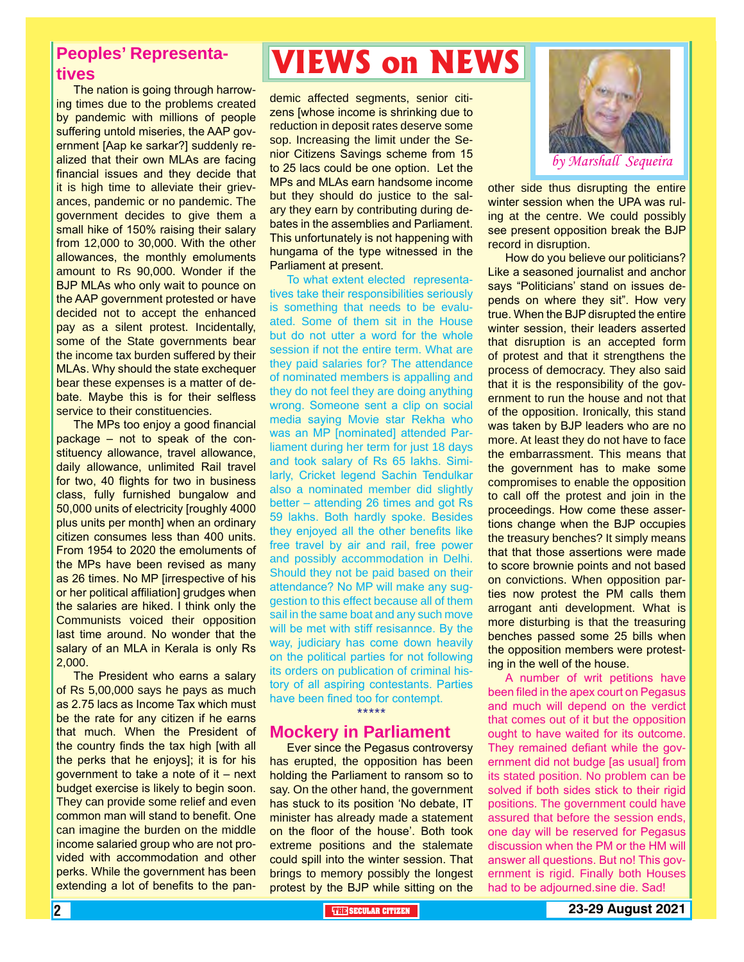#### **Peoples' Representatives**

The nation is going through harrowing times due to the problems created by pandemic with millions of people suffering untold miseries, the AAP government [Aap ke sarkar?] suddenly realized that their own MLAs are facing financial issues and they decide that it is high time to alleviate their grievances, pandemic or no pandemic. The government decides to give them a small hike of 150% raising their salary from 12,000 to 30,000. With the other allowances, the monthly emoluments amount to Rs 90,000. Wonder if the BJP MLAs who only wait to pounce on the AAP government protested or have decided not to accept the enhanced pay as a silent protest. Incidentally, some of the State governments bear the income tax burden suffered by their MLAs. Why should the state exchequer bear these expenses is a matter of debate. Maybe this is for their selfless service to their constituencies.

The MPs too enjoy a good financial package – not to speak of the constituency allowance, travel allowance, daily allowance, unlimited Rail travel for two, 40 flights for two in business class, fully furnished bungalow and 50,000 units of electricity [roughly 4000 plus units per month] when an ordinary citizen consumes less than 400 units. From 1954 to 2020 the emoluments of the MPs have been revised as many as 26 times. No MP [irrespective of his or her political affiliation] grudges when the salaries are hiked. I think only the Communists voiced their opposition last time around. No wonder that the salary of an MLA in Kerala is only Rs 2,000.

The President who earns a salary of Rs 5,00,000 says he pays as much as 2.75 lacs as Income Tax which must be the rate for any citizen if he earns that much. When the President of the country finds the tax high [with all the perks that he enjoys]; it is for his government to take a note of it – next budget exercise is likely to begin soon. They can provide some relief and even common man will stand to benefit. One can imagine the burden on the middle income salaried group who are not provided with accommodation and other perks. While the government has been extending a lot of benefits to the pan-

### **VIEWS on NEWS**

demic affected segments, senior citizens [whose income is shrinking due to reduction in deposit rates deserve some sop. Increasing the limit under the Senior Citizens Savings scheme from 15 to 25 lacs could be one option. Let the MPs and MLAs earn handsome income but they should do justice to the salary they earn by contributing during debates in the assemblies and Parliament. This unfortunately is not happening with hungama of the type witnessed in the Parliament at present.

To what extent elected representatives take their responsibilities seriously is something that needs to be evaluated. Some of them sit in the House but do not utter a word for the whole session if not the entire term. What are they paid salaries for? The attendance of nominated members is appalling and they do not feel they are doing anything wrong. Someone sent a clip on social media saying Movie star Rekha who was an MP [nominated] attended Parliament during her term for just 18 days and took salary of Rs 65 lakhs. Similarly, Cricket legend Sachin Tendulkar also a nominated member did slightly better – attending 26 times and got Rs 59 lakhs. Both hardly spoke. Besides they enjoyed all the other benefits like free travel by air and rail, free power and possibly accommodation in Delhi. Should they not be paid based on their attendance? No MP will make any suggestion to this effect because all of them sail in the same boat and any such move will be met with stiff resisannce. By the way, judiciary has come down heavily on the political parties for not following its orders on publication of criminal history of all aspiring contestants. Parties have been fined too for contempt.

\*\*\*\*\*

#### **Mockery in Parliament**

Ever since the Pegasus controversy has erupted, the opposition has been holding the Parliament to ransom so to say. On the other hand, the government has stuck to its position 'No debate, IT minister has already made a statement on the floor of the house'. Both took extreme positions and the stalemate could spill into the winter session. That brings to memory possibly the longest protest by the BJP while sitting on the



other side thus disrupting the entire winter session when the UPA was ruling at the centre. We could possibly see present opposition break the BJP record in disruption.

How do you believe our politicians? Like a seasoned journalist and anchor says "Politicians' stand on issues depends on where they sit". How very true. When the BJP disrupted the entire winter session, their leaders asserted that disruption is an accepted form of protest and that it strengthens the process of democracy. They also said that it is the responsibility of the government to run the house and not that of the opposition. Ironically, this stand was taken by BJP leaders who are no more. At least they do not have to face the embarrassment. This means that the government has to make some compromises to enable the opposition to call off the protest and join in the proceedings. How come these assertions change when the BJP occupies the treasury benches? It simply means that that those assertions were made to score brownie points and not based on convictions. When opposition parties now protest the PM calls them arrogant anti development. What is more disturbing is that the treasuring benches passed some 25 bills when the opposition members were protesting in the well of the house.

ernment is rigid. Finally both Houses<br>had to be adjourned.sine die. Sad! A number of writ petitions have been filed in the apex court on Pegasus and much will depend on the verdict that comes out of it but the opposition ought to have waited for its outcome. They remained defiant while the government did not budge [as usual] from its stated position. No problem can be solved if both sides stick to their rigid positions. The government could have assured that before the session ends, one day will be reserved for Pegasus discussion when the PM or the HM will answer all questions. But no! This govhad to be adjourned.sine die. Sad!

2 **THE SECULAR CITIZEN 23-29 August 2021**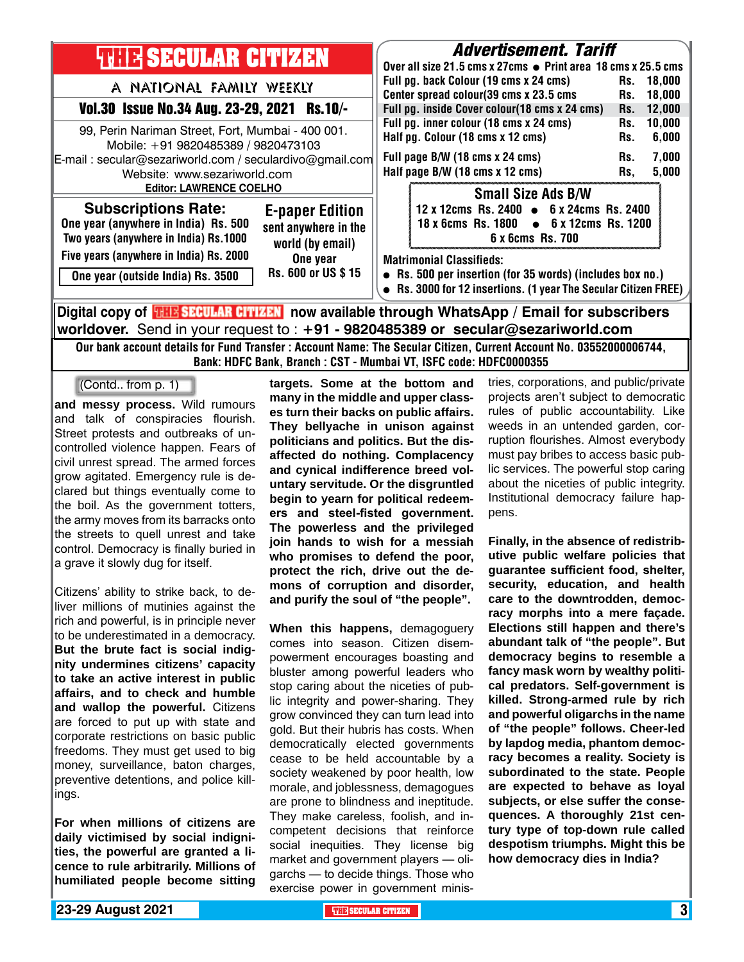| <b>THE SECULAR CITIZEN</b>                                                                                                                                                        | <i><b>Advertisement. Tariff</b></i><br>Over all size 21.5 cms x 27cms ● Print area 18 cms x 25.5 cms                                                                                                                                                                                                  |
|-----------------------------------------------------------------------------------------------------------------------------------------------------------------------------------|-------------------------------------------------------------------------------------------------------------------------------------------------------------------------------------------------------------------------------------------------------------------------------------------------------|
| A NATIONAL FAMILY WEEKLY<br>Vol.30 Issue No.34 Aug. 23-29, 2021 Rs.10/-<br>99, Perin Nariman Street, Fort, Mumbai - 400 001.<br>Mobile: +91 9820485389 / 9820473103               | Full pg. back Colour (19 cms x 24 cms)<br>Rs.<br>18.000<br>Center spread colour(39 cms x 23.5 cms<br>18,000<br>Rs.<br>Full pg. inside Cover colour(18 cms x 24 cms)<br>12,000<br>Rs.<br>Full pg. inner colour (18 cms x 24 cms)<br>10,000<br>Rs.<br>Half pg. Colour (18 cms x 12 cms)<br>6,000<br>Rs. |
| E-mail: secular@sezariworld.com / seculardivo@gmail.com<br>Website: www.sezariworld.com<br><b>Editor: LAWRENCE COELHO</b>                                                         | Full page B/W (18 cms x 24 cms)<br>7,000<br>Rs.<br>Half page B/W (18 cms x 12 cms)<br>5,000<br>Rs,                                                                                                                                                                                                    |
| <b>Subscriptions Rate:</b><br><b>E-paper Edition</b><br>One year (anywhere in India) Rs. 500<br>sent anywhere in the<br>Two years (anywhere in India) Rs.1000<br>world (by email) | <b>Small Size Ads B/W</b><br>12 x 12cms Rs. 2400 • 6 x 24cms Rs. 2400<br>18 x 6cms Rs. 1800 • 6 x 12cms Rs. 1200<br>6 x 6cms Rs. 700                                                                                                                                                                  |
| Five years (anywhere in India) Rs. 2000<br>One year<br>Rs. 600 or US \$15<br>One year (outside India) Rs. 3500                                                                    | <b>Matrimonial Classifieds:</b><br>• Rs. 500 per insertion (for 35 words) (includes box no.)<br>• Rs. 3000 for 12 insertions. (1 year The Secular Citizen FREE)                                                                                                                                       |
| Digital copy of <mark>THE SECULAR CITIZEN</mark> now available through WhatsApp / Email for subscribers                                                                           |                                                                                                                                                                                                                                                                                                       |

**worldover.** Send in your request to : **+91 - 9820485389 or secular@sezariworld.com** Our bank account details for Fund Transfer : Account Name: The Secular Citizen, Current Account No. 03552000006744,

Bank: HDFC Bank, Branch : CST - Mumbai VT, ISFC code: HDFC0000355

(Contd.. from p. 1)

**and messy process.** Wild rumours and talk of conspiracies flourish. Street protests and outbreaks of uncontrolled violence happen. Fears of civil unrest spread. The armed forces grow agitated. Emergency rule is declared but things eventually come to the boil. As the government totters, the army moves from its barracks onto the streets to quell unrest and take control. Democracy is finally buried in a grave it slowly dug for itself.

Citizens' ability to strike back, to deliver millions of mutinies against the rich and powerful, is in principle never to be underestimated in a democracy. **But the brute fact is social indignity undermines citizens' capacity to take an active interest in public affairs, and to check and humble and wallop the powerful.** Citizens are forced to put up with state and corporate restrictions on basic public freedoms. They must get used to big money, surveillance, baton charges, preventive detentions, and police killings.

**For when millions of citizens are daily victimised by social indignities, the powerful are granted a licence to rule arbitrarily. Millions of humiliated people become sitting**  **targets. Some at the bottom and many in the middle and upper classes turn their backs on public affairs. They bellyache in unison against politicians and politics. But the disaffected do nothing. Complacency and cynical indifference breed voluntary servitude. Or the disgruntled begin to yearn for political redeemers and steel-fisted government. The powerless and the privileged join hands to wish for a messiah who promises to defend the poor, protect the rich, drive out the demons of corruption and disorder, and purify the soul of "the people".**

**When this happens,** demagoguery comes into season. Citizen disempowerment encourages boasting and bluster among powerful leaders who stop caring about the niceties of public integrity and power-sharing. They grow convinced they can turn lead into gold. But their hubris has costs. When democratically elected governments cease to be held accountable by a society weakened by poor health, low morale, and joblessness, demagogues are prone to blindness and ineptitude. They make careless, foolish, and incompetent decisions that reinforce social inequities. They license big market and government players — oligarchs — to decide things. Those who exercise power in government ministries, corporations, and public/private projects aren't subject to democratic rules of public accountability. Like weeds in an untended garden, corruption flourishes. Almost everybody must pay bribes to access basic public services. The powerful stop caring about the niceties of public integrity. Institutional democracy failure happens.

**Finally, in the absence of redistributive public welfare policies that guarantee sufficient food, shelter, security, education, and health care to the downtrodden, democracy morphs into a mere façade. Elections still happen and there's abundant talk of "the people". But democracy begins to resemble a fancy mask worn by wealthy political predators. Self-government is killed. Strong-armed rule by rich and powerful oligarchs in the name of "the people" follows. Cheer-led by lapdog media, phantom democracy becomes a reality. Society is subordinated to the state. People are expected to behave as loyal subjects, or else suffer the consequences. A thoroughly 21st century type of top-down rule called despotism triumphs. Might this be how democracy dies in India?**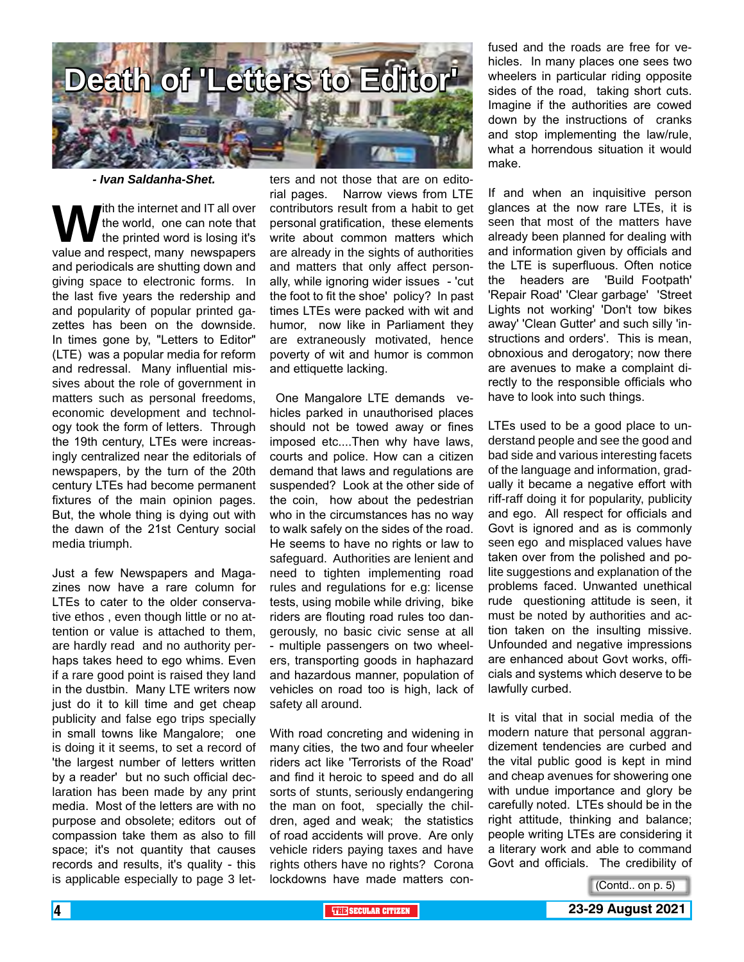

*- Ivan Saldanha-Shet.*

With the internet and IT all over<br>the world, one can note that<br>value and respect, many newspapers the world, one can note that the printed word is losing it's and periodicals are shutting down and giving space to electronic forms. In the last five years the redership and and popularity of popular printed gazettes has been on the downside. In times gone by, "Letters to Editor" (LTE) was a popular media for reform and redressal. Many influential missives about the role of government in matters such as personal freedoms, economic development and technology took the form of letters. Through the 19th century, LTEs were increasingly centralized near the editorials of newspapers, by the turn of the 20th century LTEs had become permanent fixtures of the main opinion pages. But, the whole thing is dying out with the dawn of the 21st Century social media triumph.

Just a few Newspapers and Magazines now have a rare column for LTEs to cater to the older conservative ethos , even though little or no attention or value is attached to them, are hardly read and no authority perhaps takes heed to ego whims. Even if a rare good point is raised they land in the dustbin. Many LTE writers now just do it to kill time and get cheap publicity and false ego trips specially in small towns like Mangalore; one is doing it it seems, to set a record of 'the largest number of letters written by a reader' but no such official declaration has been made by any print media. Most of the letters are with no purpose and obsolete; editors out of compassion take them as also to fill space; it's not quantity that causes records and results, it's quality - this is applicable especially to page 3 let-

ters and not those that are on editorial pages. Narrow views from LTE contributors result from a habit to get personal gratification, these elements write about common matters which are already in the sights of authorities and matters that only affect personally, while ignoring wider issues - 'cut the foot to fit the shoe' policy? In past times LTEs were packed with wit and humor, now like in Parliament they are extraneously motivated, hence poverty of wit and humor is common and ettiquette lacking.

 One Mangalore LTE demands vehicles parked in unauthorised places should not be towed away or fines imposed etc....Then why have laws, courts and police. How can a citizen demand that laws and regulations are suspended? Look at the other side of the coin, how about the pedestrian who in the circumstances has no way to walk safely on the sides of the road. He seems to have no rights or law to safeguard. Authorities are lenient and need to tighten implementing road rules and regulations for e.g: license tests, using mobile while driving, bike riders are flouting road rules too dangerously, no basic civic sense at all - multiple passengers on two wheelers, transporting goods in haphazard and hazardous manner, population of vehicles on road too is high, lack of safety all around.

With road concreting and widening in many cities, the two and four wheeler riders act like 'Terrorists of the Road' and find it heroic to speed and do all sorts of stunts, seriously endangering the man on foot, specially the children, aged and weak; the statistics of road accidents will prove. Are only vehicle riders paying taxes and have rights others have no rights? Corona lockdowns have made matters confused and the roads are free for vehicles. In many places one sees two wheelers in particular riding opposite sides of the road, taking short cuts. Imagine if the authorities are cowed down by the instructions of cranks and stop implementing the law/rule, what a horrendous situation it would make.

If and when an inquisitive person glances at the now rare LTEs, it is seen that most of the matters have already been planned for dealing with and information given by officials and the LTE is superfluous. Often notice the headers are 'Build Footpath' 'Repair Road' 'Clear garbage' 'Street Lights not working' 'Don't tow bikes away' 'Clean Gutter' and such silly 'instructions and orders'. This is mean, obnoxious and derogatory; now there are avenues to make a complaint directly to the responsible officials who have to look into such things.

LTEs used to be a good place to understand people and see the good and bad side and various interesting facets of the language and information, gradually it became a negative effort with riff-raff doing it for popularity, publicity and ego. All respect for officials and Govt is ignored and as is commonly seen ego and misplaced values have taken over from the polished and polite suggestions and explanation of the problems faced. Unwanted unethical rude questioning attitude is seen, it must be noted by authorities and action taken on the insulting missive. Unfounded and negative impressions are enhanced about Govt works, officials and systems which deserve to be lawfully curbed.

It is vital that in social media of the modern nature that personal aggrandizement tendencies are curbed and the vital public good is kept in mind and cheap avenues for showering one with undue importance and glory be carefully noted. LTEs should be in the right attitude, thinking and balance; people writing LTEs are considering it a literary work and able to command Govt and officials. The credibility of

(Contd.. on p. 5)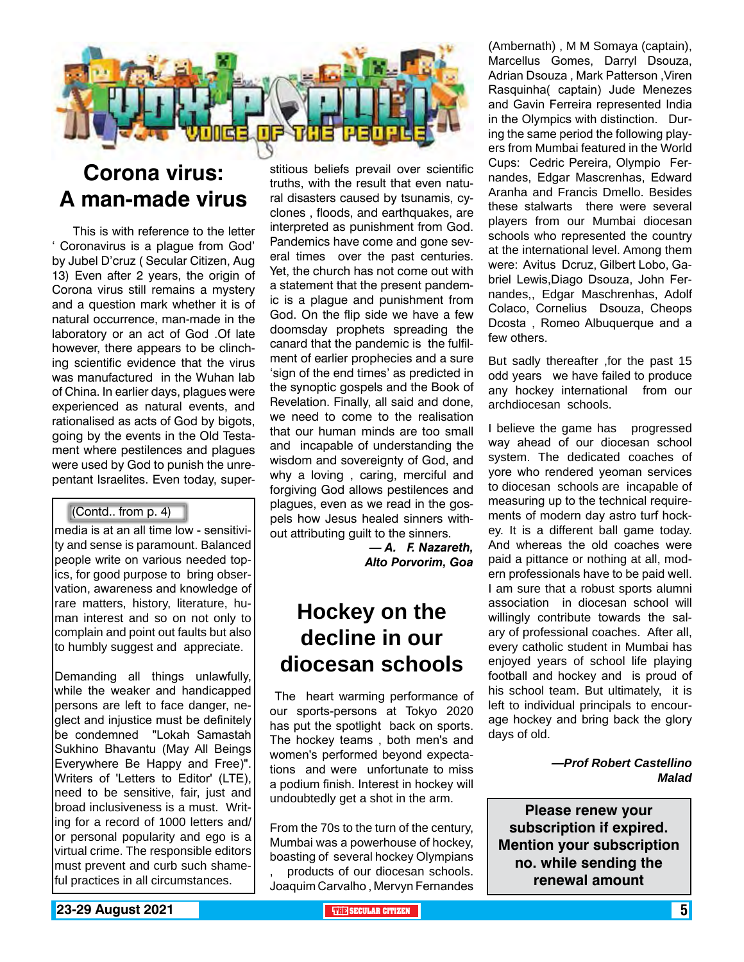

### **Corona virus: A man-made virus**

 This is with reference to the letter ' Coronavirus is a plague from God' by Jubel D'cruz ( Secular Citizen, Aug 13) Even after 2 years, the origin of Corona virus still remains a mystery and a question mark whether it is of natural occurrence, man-made in the laboratory or an act of God .Of late however, there appears to be clinching scientific evidence that the virus was manufactured in the Wuhan lab of China. In earlier days, plagues were experienced as natural events, and rationalised as acts of God by bigots, going by the events in the Old Testament where pestilences and plagues were used by God to punish the unrepentant Israelites. Even today, super-

#### (Contd.. from p. 4)

media is at an all time low - sensitivity and sense is paramount. Balanced people write on various needed topics, for good purpose to bring observation, awareness and knowledge of rare matters, history, literature, human interest and so on not only to complain and point out faults but also to humbly suggest and appreciate.

Demanding all things unlawfully, while the weaker and handicapped persons are left to face danger, neglect and injustice must be definitely be condemned "Lokah Samastah Sukhino Bhavantu (May All Beings Everywhere Be Happy and Free)". Writers of 'Letters to Editor' (LTE), need to be sensitive, fair, just and broad inclusiveness is a must. Writing for a record of 1000 letters and/ or personal popularity and ego is a virtual crime. The responsible editors must prevent and curb such shameful practices in all circumstances.

stitious beliefs prevail over scientific truths, with the result that even natural disasters caused by tsunamis, cyclones , floods, and earthquakes, are interpreted as punishment from God. Pandemics have come and gone several times over the past centuries. Yet, the church has not come out with a statement that the present pandemic is a plague and punishment from God. On the flip side we have a few doomsday prophets spreading the canard that the pandemic is the fulfilment of earlier prophecies and a sure 'sign of the end times' as predicted in the synoptic gospels and the Book of Revelation. Finally, all said and done, we need to come to the realisation that our human minds are too small and incapable of understanding the wisdom and sovereignty of God, and why a loving , caring, merciful and forgiving God allows pestilences and plagues, even as we read in the gospels how Jesus healed sinners without attributing guilt to the sinners.

> *— A. F. Nazareth, Alto Porvorim, Goa*

### **Hockey on the decline in our diocesan schools**

 The heart warming performance of our sports-persons at Tokyo 2020 has put the spotlight back on sports. The hockey teams , both men's and women's performed beyond expectations and were unfortunate to miss a podium finish. Interest in hockey will undoubtedly get a shot in the arm.

From the 70s to the turn of the century, Mumbai was a powerhouse of hockey, boasting of several hockey Olympians , products of our diocesan schools. Joaquim Carvalho , Mervyn Fernandes (Ambernath) , M M Somaya (captain), Marcellus Gomes, Darryl Dsouza, Adrian Dsouza , Mark Patterson ,Viren Rasquinha( captain) Jude Menezes and Gavin Ferreira represented India in the Olympics with distinction. During the same period the following players from Mumbai featured in the World Cups: Cedric Pereira, Olympio Fernandes, Edgar Mascrenhas, Edward Aranha and Francis Dmello. Besides these stalwarts there were several players from our Mumbai diocesan schools who represented the country at the international level. Among them were: Avitus Dcruz, Gilbert Lobo, Gabriel Lewis,Diago Dsouza, John Fernandes,, Edgar Maschrenhas, Adolf Colaco, Cornelius Dsouza, Cheops Dcosta , Romeo Albuquerque and a few others.

But sadly thereafter ,for the past 15 odd years we have failed to produce any hockey international from our archdiocesan schools.

I believe the game has progressed way ahead of our diocesan school system. The dedicated coaches of yore who rendered yeoman services to diocesan schools are incapable of measuring up to the technical requirements of modern day astro turf hockey. It is a different ball game today. And whereas the old coaches were paid a pittance or nothing at all, modern professionals have to be paid well. I am sure that a robust sports alumni association in diocesan school will willingly contribute towards the salary of professional coaches. After all, every catholic student in Mumbai has enjoyed years of school life playing football and hockey and is proud of his school team. But ultimately, it is left to individual principals to encourage hockey and bring back the glory days of old.

> *—Prof Robert Castellino Malad*

**Please renew your subscription if expired. Mention your subscription no. while sending the renewal amount**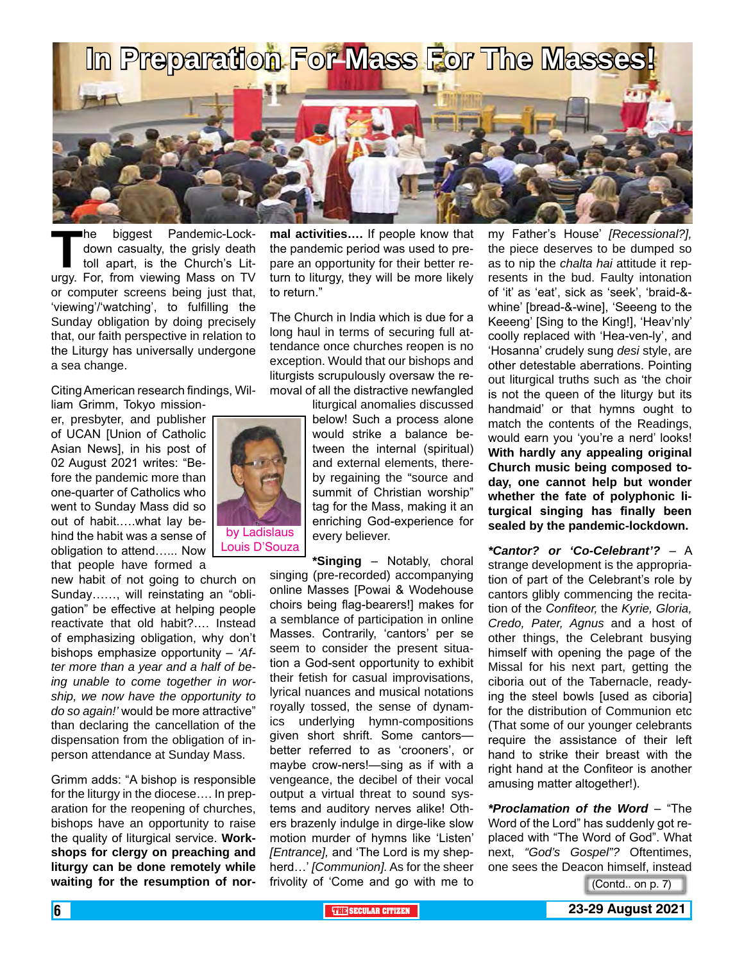

**The biggest Pandemic-Lock-**<br>down casualty, the grisly death<br>toll apart, is the Church's Lit-<br>urgy. For. from viewing Mass on TV down casualty, the grisly death toll apart, is the Church's Liturgy. For, from viewing Mass on TV or computer screens being just that, 'viewing'/'watching', to fulfilling the Sunday obligation by doing precisely that, our faith perspective in relation to the Liturgy has universally undergone a sea change.

Citing American research findings, William Grimm, Tokyo mission-

er, presbyter, and publisher of UCAN [Union of Catholic Asian News], in his post of 02 August 2021 writes: "Before the pandemic more than one-quarter of Catholics who went to Sunday Mass did so out of habit.….what lay behind the habit was a sense of obligation to attend…... Now that people have formed a

new habit of not going to church on Sunday……, will reinstating an "obligation" be effective at helping people reactivate that old habit?…. Instead of emphasizing obligation, why don't bishops emphasize opportunity – *'After more than a year and a half of being unable to come together in worship, we now have the opportunity to do so again!'* would be more attractive" than declaring the cancellation of the dispensation from the obligation of inperson attendance at Sunday Mass.

Grimm adds: "A bishop is responsible for the liturgy in the diocese…. In preparation for the reopening of churches, bishops have an opportunity to raise the quality of liturgical service. **Workshops for clergy on preaching and liturgy can be done remotely while waiting for the resumption of nor-**

**mal activities….** If people know that the pandemic period was used to prepare an opportunity for their better return to liturgy, they will be more likely to return."

The Church in India which is due for a long haul in terms of securing full attendance once churches reopen is no exception. Would that our bishops and liturgists scrupulously oversaw the removal of all the distractive newfangled

liturgical anomalies discussed below! Such a process alone would strike a balance between the internal (spiritual) and external elements, thereby regaining the "source and summit of Christian worship" tag for the Mass, making it an enriching God-experience for every believer.

**\*Singing** – Notably, choral singing (pre-recorded) accompanying online Masses [Powai & Wodehouse choirs being flag-bearers!] makes for a semblance of participation in online Masses. Contrarily, 'cantors' per se seem to consider the present situation a God-sent opportunity to exhibit their fetish for casual improvisations, lyrical nuances and musical notations royally tossed, the sense of dynamics underlying hymn-compositions given short shrift. Some cantors better referred to as 'crooners', or maybe crow-ners!—sing as if with a vengeance, the decibel of their vocal output a virtual threat to sound systems and auditory nerves alike! Others brazenly indulge in dirge-like slow motion murder of hymns like 'Listen' *[Entrance],* and 'The Lord is my shepherd…' *[Communion].* As for the sheer frivolity of 'Come and go with me to

my Father's House' *[Recessional?],* the piece deserves to be dumped so as to nip the *chalta hai* attitude it represents in the bud. Faulty intonation of 'it' as 'eat', sick as 'seek', 'braid-& whine' [bread-&-wine], 'Seeeng to the Keeeng' [Sing to the King!], 'Heav'nly' coolly replaced with 'Hea-ven-ly', and 'Hosanna' crudely sung *desi* style, are other detestable aberrations. Pointing out liturgical truths such as 'the choir is not the queen of the liturgy but its handmaid' or that hymns ought to match the contents of the Readings, would earn you 'you're a nerd' looks! **With hardly any appealing original Church music being composed today, one cannot help but wonder whether the fate of polyphonic liturgical singing has finally been sealed by the pandemic-lockdown.**

*\*Cantor? or 'Co-Celebrant'?* – A strange development is the appropriation of part of the Celebrant's role by cantors glibly commencing the recitation of the *Confiteor,* the *Kyrie, Gloria, Credo, Pater, Agnus* and a host of other things, the Celebrant busying himself with opening the page of the Missal for his next part, getting the ciboria out of the Tabernacle, readying the steel bowls [used as ciboria] for the distribution of Communion etc (That some of our younger celebrants require the assistance of their left hand to strike their breast with the right hand at the Confiteor is another amusing matter altogether!).

*\*Proclamation of the Word* – "The Word of the Lord" has suddenly got replaced with "The Word of God". What next, *"God's Gospel"?* Oftentimes, one sees the Deacon himself, instead

(Contd.. on p. 7)



Louis D'Souza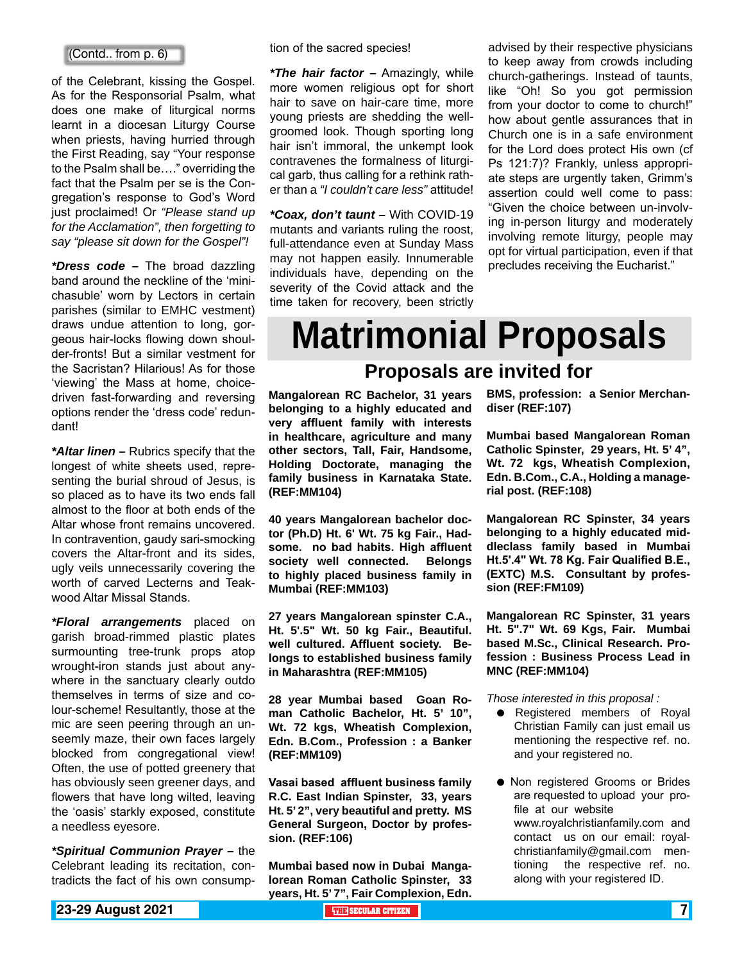of the Celebrant, kissing the Gospel. As for the Responsorial Psalm, what does one make of liturgical norms learnt in a diocesan Liturgy Course when priests, having hurried through the First Reading, say "Your response to the Psalm shall be…." overriding the fact that the Psalm per se is the Congregation's response to God's Word just proclaimed! Or *"Please stand up for the Acclamation", then forgetting to say "please sit down for the Gospel"!*

*\*Dress code –* The broad dazzling band around the neckline of the 'minichasuble' worn by Lectors in certain parishes (similar to EMHC vestment) draws undue attention to long, gorgeous hair-locks flowing down shoulder-fronts! But a similar vestment for the Sacristan? Hilarious! As for those 'viewing' the Mass at home, choicedriven fast-forwarding and reversing options render the 'dress code' redundant!

*\*Altar linen –* Rubrics specify that the longest of white sheets used, representing the burial shroud of Jesus, is so placed as to have its two ends fall almost to the floor at both ends of the Altar whose front remains uncovered. In contravention, gaudy sari-smocking covers the Altar-front and its sides, ugly veils unnecessarily covering the worth of carved Lecterns and Teakwood Altar Missal Stands.

*\*Floral arrangements* placed on garish broad-rimmed plastic plates surmounting tree-trunk props atop wrought-iron stands just about anywhere in the sanctuary clearly outdo themselves in terms of size and colour-scheme! Resultantly, those at the mic are seen peering through an unseemly maze, their own faces largely blocked from congregational view! Often, the use of potted greenery that has obviously seen greener days, and flowers that have long wilted, leaving the 'oasis' starkly exposed, constitute a needless eyesore.

*\*Spiritual Communion Prayer –* the Celebrant leading its recitation, contradicts the fact of his own consumption of the sacred species!

*\*The hair factor –* Amazingly, while more women religious opt for short hair to save on hair-care time, more young priests are shedding the wellgroomed look. Though sporting long hair isn't immoral, the unkempt look contravenes the formalness of liturgical garb, thus calling for a rethink rather than a *"I couldn't care less"* attitude!

*\*Coax, don't taunt –* With COVID-19 mutants and variants ruling the roost, full-attendance even at Sunday Mass may not happen easily. Innumerable individuals have, depending on the severity of the Covid attack and the time taken for recovery, been strictly

(Contd.. from p. 6) **a** from p. 6) **a** from context tion of the sacred species! And advised by their respective physicians to keep away from crowds including church-gatherings. Instead of taunts, like "Oh! So you got permission from your doctor to come to church!" how about gentle assurances that in Church one is in a safe environment for the Lord does protect His own (cf Ps 121:7)? Frankly, unless appropriate steps are urgently taken, Grimm's assertion could well come to pass: "Given the choice between un-involving in-person liturgy and moderately involving remote liturgy, people may opt for virtual participation, even if that precludes receiving the Eucharist."

### **Matrimonial Proposals Proposals are invited for**

**Mangalorean RC Bachelor, 31 years belonging to a highly educated and very affluent family with interests in healthcare, agriculture and many other sectors, Tall, Fair, Handsome, Holding Doctorate, managing the family business in Karnataka State. (REF:MM104)**

**40 years Mangalorean bachelor doctor (Ph.D) Ht. 6' Wt. 75 kg Fair., Hadsome. no bad habits. High affluent society well connected. Belongs to highly placed business family in Mumbai (REF:MM103)**

**27 years Mangalorean spinster C.A., Ht. 5'.5" Wt. 50 kg Fair., Beautiful. well cultured. Affluent society. Belongs to established business family in Maharashtra (REF:MM105)**

**28 year Mumbai based Goan Roman Catholic Bachelor, Ht. 5' 10", Wt. 72 kgs, Wheatish Complexion, Edn. B.Com., Profession : a Banker (REF:MM109)**

**Vasai based affluent business family R.C. East Indian Spinster, 33, years Ht. 5' 2", very beautiful and pretty. MS General Surgeon, Doctor by profession. (REF:106)**

**Mumbai based now in Dubai Mangalorean Roman Catholic Spinster, 33 years, Ht. 5' 7", Fair Complexion, Edn.** 

**BMS, profession: a Senior Merchandiser (REF:107)**

**Mumbai based Mangalorean Roman Catholic Spinster, 29 years, Ht. 5' 4", Wt. 72 kgs, Wheatish Complexion, Edn. B.Com., C.A., Holding a managerial post. (REF:108)** 

**Mangalorean RC Spinster, 34 years belonging to a highly educated middleclass family based in Mumbai Ht.5'.4" Wt. 78 Kg. Fair Qualified B.E., (EXTC) M.S. Consultant by profession (REF:FM109)**

**Mangalorean RC Spinster, 31 years Ht. 5".7" Wt. 69 Kgs, Fair. Mumbai based M.Sc., Clinical Research. Profession : Business Process Lead in MNC (REF:MM104)**

*Those interested in this proposal :*

- Registered members of Royal Christian Family can just email us mentioning the respective ref. no. and your registered no.
- Non registered Grooms or Brides are requested to upload your profile at our website www.royalchristianfamily.com and contact us on our email: royalchristianfamily@gmail.com mentioning the respective ref. no. along with your registered ID.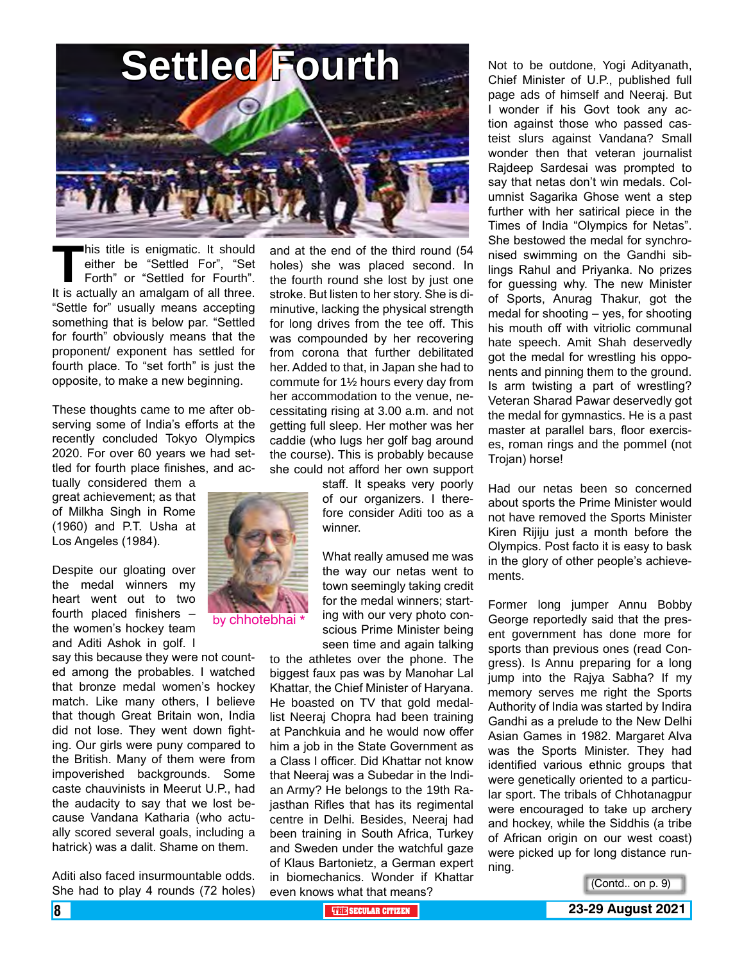![](_page_7_Picture_0.jpeg)

**This title is enigmatic. It should<br>either be "Settled For", "Set<br>Forth" or "Settled for Fourth".<br>It is actually an amalgam of all three.** either be "Settled For", "Set Forth" or "Settled for Fourth". It is actually an amalgam of all three. "Settle for" usually means accepting something that is below par. "Settled for fourth" obviously means that the proponent/ exponent has settled for fourth place. To "set forth" is just the opposite, to make a new beginning.

These thoughts came to me after observing some of India's efforts at the recently concluded Tokyo Olympics 2020. For over 60 years we had settled for fourth place finishes, and ac-

tually considered them a great achievement; as that of Milkha Singh in Rome (1960) and P.T. Usha at Los Angeles (1984).

Despite our gloating over the medal winners my heart went out to two fourth placed finishers – the women's hockey team and Aditi Ashok in golf. I

say this because they were not counted among the probables. I watched that bronze medal women's hockey match. Like many others, I believe that though Great Britain won, India did not lose. They went down fighting. Our girls were puny compared to the British. Many of them were from impoverished backgrounds. Some caste chauvinists in Meerut U.P., had the audacity to say that we lost because Vandana Katharia (who actually scored several goals, including a hatrick) was a dalit. Shame on them.

Aditi also faced insurmountable odds. She had to play 4 rounds (72 holes)

and at the end of the third round (54 holes) she was placed second. In the fourth round she lost by just one stroke. But listen to her story. She is diminutive, lacking the physical strength for long drives from the tee off. This was compounded by her recovering from corona that further debilitated her. Added to that, in Japan she had to commute for 1½ hours every day from her accommodation to the venue, necessitating rising at 3.00 a.m. and not getting full sleep. Her mother was her caddie (who lugs her golf bag around the course). This is probably because she could not afford her own support

staff. It speaks very poorly of our organizers. I therefore consider Aditi too as a winner.

What really amused me was the way our netas went to town seemingly taking credit for the medal winners; starting with our very photo conscious Prime Minister being seen time and again talking

to the athletes over the phone. The biggest faux pas was by Manohar Lal Khattar, the Chief Minister of Haryana. He boasted on TV that gold medallist Neeraj Chopra had been training at Panchkuia and he would now offer him a job in the State Government as a Class I officer. Did Khattar not know that Neeraj was a Subedar in the Indian Army? He belongs to the 19th Rajasthan Rifles that has its regimental centre in Delhi. Besides, Neeraj had been training in South Africa, Turkey and Sweden under the watchful gaze of Klaus Bartonietz, a German expert in biomechanics. Wonder if Khattar even knows what that means?

Not to be outdone, Yogi Adityanath, Chief Minister of U.P., published full page ads of himself and Neeraj. But I wonder if his Govt took any action against those who passed casteist slurs against Vandana? Small wonder then that veteran journalist Rajdeep Sardesai was prompted to say that netas don't win medals. Columnist Sagarika Ghose went a step further with her satirical piece in the Times of India "Olympics for Netas". She bestowed the medal for synchronised swimming on the Gandhi siblings Rahul and Priyanka. No prizes for guessing why. The new Minister of Sports, Anurag Thakur, got the medal for shooting – yes, for shooting his mouth off with vitriolic communal hate speech. Amit Shah deservedly got the medal for wrestling his opponents and pinning them to the ground. Is arm twisting a part of wrestling? Veteran Sharad Pawar deservedly got the medal for gymnastics. He is a past master at parallel bars, floor exercises, roman rings and the pommel (not Trojan) horse!

Had our netas been so concerned about sports the Prime Minister would not have removed the Sports Minister Kiren Rijiju just a month before the Olympics. Post facto it is easy to bask in the glory of other people's achievements.

Former long jumper Annu Bobby George reportedly said that the present government has done more for sports than previous ones (read Congress). Is Annu preparing for a long jump into the Rajya Sabha? If my memory serves me right the Sports Authority of India was started by Indira Gandhi as a prelude to the New Delhi Asian Games in 1982. Margaret Alva was the Sports Minister. They had identified various ethnic groups that were genetically oriented to a particular sport. The tribals of Chhotanagpur were encouraged to take up archery and hockey, while the Siddhis (a tribe of African origin on our west coast) were picked up for long distance running.

(Contd.. on p. 9)

![](_page_7_Picture_15.jpeg)

![](_page_7_Picture_17.jpeg)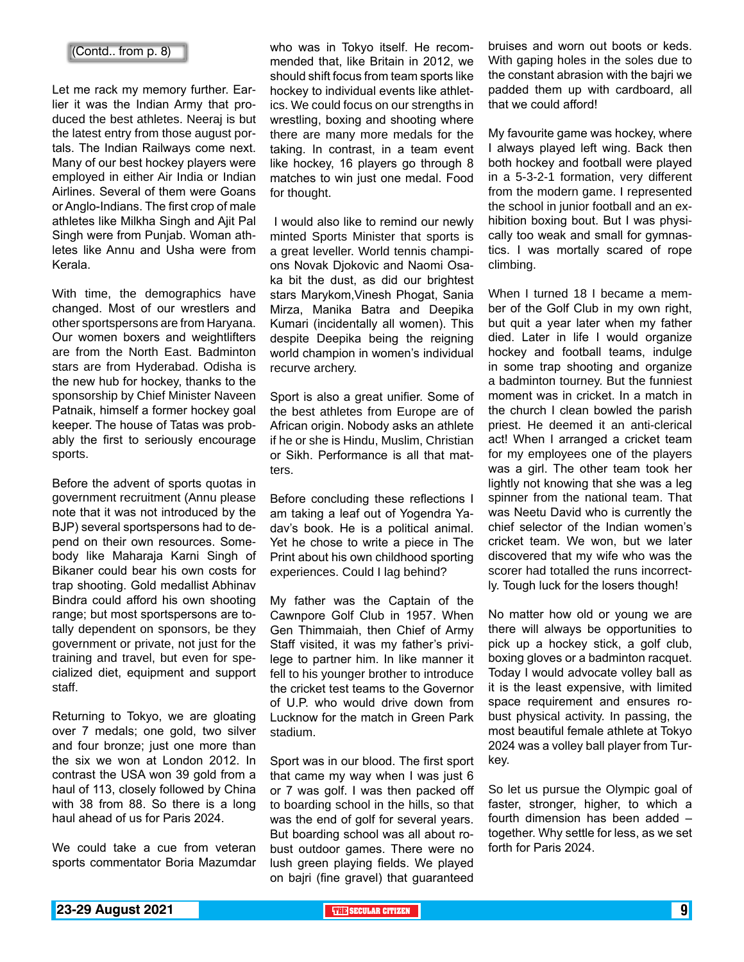#### (Contd.. from p. 8)

Let me rack my memory further. Earlier it was the Indian Army that produced the best athletes. Neeraj is but the latest entry from those august portals. The Indian Railways come next. Many of our best hockey players were employed in either Air India or Indian Airlines. Several of them were Goans or Anglo-Indians. The first crop of male athletes like Milkha Singh and Ajit Pal Singh were from Punjab. Woman athletes like Annu and Usha were from Kerala.

With time, the demographics have changed. Most of our wrestlers and other sportspersons are from Haryana. Our women boxers and weightlifters are from the North East. Badminton stars are from Hyderabad. Odisha is the new hub for hockey, thanks to the sponsorship by Chief Minister Naveen Patnaik, himself a former hockey goal keeper. The house of Tatas was probably the first to seriously encourage sports.

Before the advent of sports quotas in government recruitment (Annu please note that it was not introduced by the BJP) several sportspersons had to depend on their own resources. Somebody like Maharaja Karni Singh of Bikaner could bear his own costs for trap shooting. Gold medallist Abhinav Bindra could afford his own shooting range; but most sportspersons are totally dependent on sponsors, be they government or private, not just for the training and travel, but even for specialized diet, equipment and support staff.

Returning to Tokyo, we are gloating over 7 medals; one gold, two silver and four bronze; just one more than the six we won at London 2012. In contrast the USA won 39 gold from a haul of 113, closely followed by China with 38 from 88. So there is a long haul ahead of us for Paris 2024.

We could take a cue from veteran sports commentator Boria Mazumdar who was in Tokyo itself. He recommended that, like Britain in 2012, we should shift focus from team sports like hockey to individual events like athletics. We could focus on our strengths in wrestling, boxing and shooting where there are many more medals for the taking. In contrast, in a team event like hockey, 16 players go through 8 matches to win just one medal. Food for thought.

 I would also like to remind our newly minted Sports Minister that sports is a great leveller. World tennis champions Novak Djokovic and Naomi Osaka bit the dust, as did our brightest stars Marykom,Vinesh Phogat, Sania Mirza, Manika Batra and Deepika Kumari (incidentally all women). This despite Deepika being the reigning world champion in women's individual recurve archery.

Sport is also a great unifier. Some of the best athletes from Europe are of African origin. Nobody asks an athlete if he or she is Hindu, Muslim, Christian or Sikh. Performance is all that matters.

Before concluding these reflections I am taking a leaf out of Yogendra Yadav's book. He is a political animal. Yet he chose to write a piece in The Print about his own childhood sporting experiences. Could I lag behind?

My father was the Captain of the Cawnpore Golf Club in 1957. When Gen Thimmaiah, then Chief of Army Staff visited, it was my father's privilege to partner him. In like manner it fell to his younger brother to introduce the cricket test teams to the Governor of U.P. who would drive down from Lucknow for the match in Green Park stadium.

Sport was in our blood. The first sport that came my way when I was just 6 or 7 was golf. I was then packed off to boarding school in the hills, so that was the end of golf for several years. But boarding school was all about robust outdoor games. There were no lush green playing fields. We played on bajri (fine gravel) that guaranteed

bruises and worn out boots or keds. With gaping holes in the soles due to the constant abrasion with the bajri we padded them up with cardboard, all that we could afford!

My favourite game was hockey, where I always played left wing. Back then both hockey and football were played in a 5-3-2-1 formation, very different from the modern game. I represented the school in junior football and an exhibition boxing bout. But I was physically too weak and small for gymnastics. I was mortally scared of rope climbing.

When I turned 18 I became a member of the Golf Club in my own right, but quit a year later when my father died. Later in life I would organize hockey and football teams, indulge in some trap shooting and organize a badminton tourney. But the funniest moment was in cricket. In a match in the church I clean bowled the parish priest. He deemed it an anti-clerical act! When I arranged a cricket team for my employees one of the players was a girl. The other team took her lightly not knowing that she was a leg spinner from the national team. That was Neetu David who is currently the chief selector of the Indian women's cricket team. We won, but we later discovered that my wife who was the scorer had totalled the runs incorrectly. Tough luck for the losers though!

No matter how old or young we are there will always be opportunities to pick up a hockey stick, a golf club, boxing gloves or a badminton racquet. Today I would advocate volley ball as it is the least expensive, with limited space requirement and ensures robust physical activity. In passing, the most beautiful female athlete at Tokyo 2024 was a volley ball player from Turkey.

So let us pursue the Olympic goal of faster, stronger, higher, to which a fourth dimension has been added – together. Why settle for less, as we set forth for Paris 2024.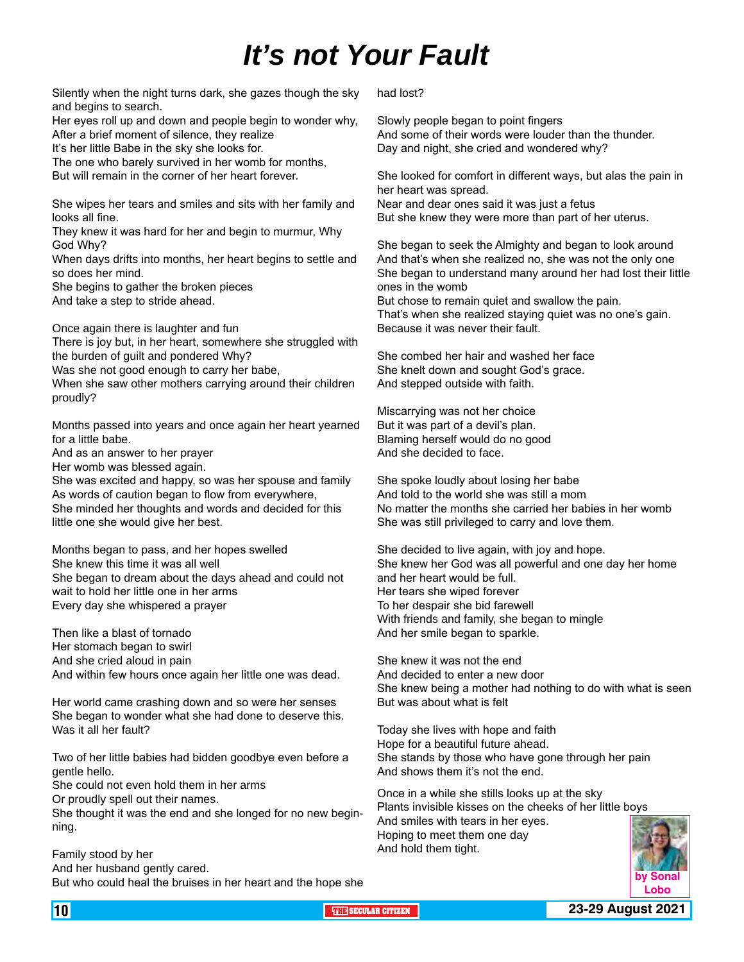### *It's not Your Fault*

Silently when the night turns dark, she gazes though the sky and begins to search.

Her eyes roll up and down and people begin to wonder why, After a brief moment of silence, they realize

It's her little Babe in the sky she looks for.

The one who barely survived in her womb for months, But will remain in the corner of her heart forever.

She wipes her tears and smiles and sits with her family and looks all fine.

They knew it was hard for her and begin to murmur, Why God Why?

When days drifts into months, her heart begins to settle and so does her mind.

She begins to gather the broken pieces

And take a step to stride ahead.

Once again there is laughter and fun

There is joy but, in her heart, somewhere she struggled with the burden of guilt and pondered Why?

Was she not good enough to carry her babe,

When she saw other mothers carrying around their children proudly?

Months passed into years and once again her heart yearned for a little babe.

And as an answer to her prayer

Her womb was blessed again.

She was excited and happy, so was her spouse and family As words of caution began to flow from everywhere, She minded her thoughts and words and decided for this little one she would give her best.

Months began to pass, and her hopes swelled She knew this time it was all well She began to dream about the days ahead and could not wait to hold her little one in her arms Every day she whispered a prayer

Then like a blast of tornado Her stomach began to swirl And she cried aloud in pain And within few hours once again her little one was dead.

Her world came crashing down and so were her senses She began to wonder what she had done to deserve this. Was it all her fault?

Two of her little babies had bidden goodbye even before a gentle hello.

She could not even hold them in her arms Or proudly spell out their names.

She thought it was the end and she longed for no new beginning.

Family stood by her And her husband gently cared. But who could heal the bruises in her heart and the hope she had lost?

Slowly people began to point fingers And some of their words were louder than the thunder. Day and night, she cried and wondered why?

She looked for comfort in different ways, but alas the pain in her heart was spread.

Near and dear ones said it was just a fetus But she knew they were more than part of her uterus.

She began to seek the Almighty and began to look around And that's when she realized no, she was not the only one She began to understand many around her had lost their little ones in the womb

But chose to remain quiet and swallow the pain. That's when she realized staying quiet was no one's gain. Because it was never their fault.

She combed her hair and washed her face She knelt down and sought God's grace. And stepped outside with faith.

Miscarrying was not her choice But it was part of a devil's plan. Blaming herself would do no good And she decided to face.

She spoke loudly about losing her babe And told to the world she was still a mom No matter the months she carried her babies in her womb She was still privileged to carry and love them.

She decided to live again, with joy and hope. She knew her God was all powerful and one day her home and her heart would be full. Her tears she wiped forever To her despair she bid farewell With friends and family, she began to mingle And her smile began to sparkle.

She knew it was not the end And decided to enter a new door She knew being a mother had nothing to do with what is seen But was about what is felt

Today she lives with hope and faith Hope for a beautiful future ahead. She stands by those who have gone through her pain And shows them it's not the end.

Once in a while she stills looks up at the sky Plants invisible kisses on the cheeks of her little boys And smiles with tears in her eyes. Hoping to meet them one day And hold them tight.

![](_page_9_Picture_38.jpeg)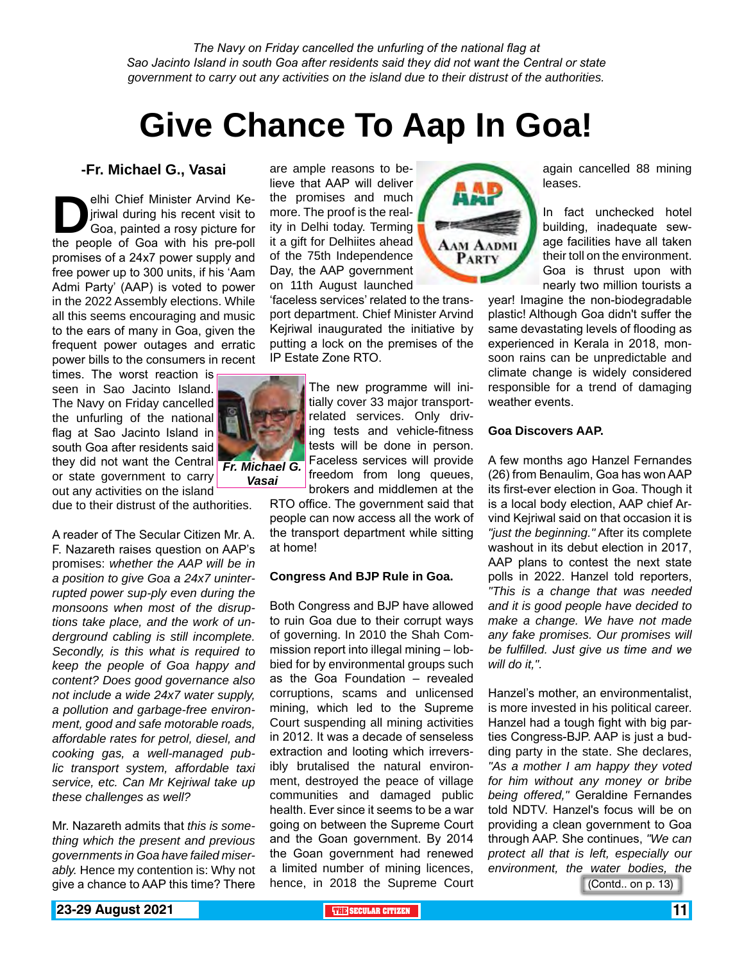*The Navy on Friday cancelled the unfurling of the national flag at Sao Jacinto Island in south Goa after residents said they did not want the Central or state government to carry out any activities on the island due to their distrust of the authorities.*

## **Give Chance To Aap In Goa!**

#### **-Fr. Michael G., Vasai**

elhi Chief Minister Arvind Ke-<br>
jriwal during his recent visit to<br>
Goa, painted a rosy picture for<br>
the people of Goa with his pre-poll jriwal during his recent visit to Goa, painted a rosy picture for promises of a 24x7 power supply and free power up to 300 units, if his 'Aam Admi Party' (AAP) is voted to power in the 2022 Assembly elections. While all this seems encouraging and music to the ears of many in Goa, given the frequent power outages and erratic power bills to the consumers in recent

times. The worst reaction is seen in Sao Jacinto Island. The Navy on Friday cancelled the unfurling of the national flag at Sao Jacinto Island in south Goa after residents said they did not want the Central *Fr. Michael G.*  or state government to carry out any activities on the island

due to their distrust of the authorities.

A reader of The Secular Citizen Mr. A. F. Nazareth raises question on AAP's promises: *whether the AAP will be in a position to give Goa a 24x7 uninterrupted power sup-ply even during the monsoons when most of the disruptions take place, and the work of underground cabling is still incomplete. Secondly, is this what is required to keep the people of Goa happy and content? Does good governance also not include a wide 24x7 water supply, a pollution and garbage-free environment, good and safe motorable roads, affordable rates for petrol, diesel, and cooking gas, a well-managed public transport system, affordable taxi service, etc. Can Mr Kejriwal take up these challenges as well?*

Mr. Nazareth admits that *this is something which the present and previous governments in Goa have failed miserably.* Hence my contention is: Why not give a chance to AAP this time? There

are ample reasons to believe that AAP will deliver the promises and much more. The proof is the reality in Delhi today. Terming it a gift for Delhiites ahead of the 75th Independence Day, the AAP government on 11th August launched

'faceless services' related to the transport department. Chief Minister Arvind Kejriwal inaugurated the initiative by putting a lock on the premises of the IP Estate Zone RTO.

> The new programme will initially cover 33 major transportrelated services. Only driving tests and vehicle-fitness tests will be done in person. Faceless services will provide freedom from long queues, brokers and middlemen at the

RTO office. The government said that people can now access all the work of the transport department while sitting at home!

#### **Congress And BJP Rule in Goa.**

Both Congress and BJP have allowed to ruin Goa due to their corrupt ways of governing. In 2010 the Shah Commission report into illegal mining – lobbied for by environmental groups such as the Goa Foundation – revealed corruptions, scams and unlicensed mining, which led to the Supreme Court suspending all mining activities in 2012. It was a decade of senseless extraction and looting which irreversibly brutalised the natural environment, destroyed the peace of village communities and damaged public health. Ever since it seems to be a war going on between the Supreme Court and the Goan government. By 2014 the Goan government had renewed a limited number of mining licences, hence, in 2018 the Supreme Court

![](_page_10_Picture_14.jpeg)

again cancelled 88 mining leases.

In fact unchecked hotel building, inadequate sewage facilities have all taken their toll on the environment. Goa is thrust upon with nearly two million tourists a

year! Imagine the non-biodegradable plastic! Although Goa didn't suffer the same devastating levels of flooding as experienced in Kerala in 2018, monsoon rains can be unpredictable and climate change is widely considered responsible for a trend of damaging weather events.

#### **Goa Discovers AAP.**

A few months ago Hanzel Fernandes (26) from Benaulim, Goa has won AAP its first-ever election in Goa. Though it is a local body election, AAP chief Arvind Kejriwal said on that occasion it is *"just the beginning."* After its complete washout in its debut election in 2017, AAP plans to contest the next state polls in 2022. Hanzel told reporters, *"This is a change that was needed and it is good people have decided to make a change. We have not made any fake promises. Our promises will be fulfilled. Just give us time and we will do it,".*

Hanzel's mother, an environmentalist, is more invested in his political career. Hanzel had a tough fight with big parties Congress-BJP. AAP is just a budding party in the state. She declares, *"As a mother I am happy they voted for him without any money or bribe being offered,"* Geraldine Fernandes told NDTV. Hanzel's focus will be on providing a clean government to Goa through AAP. She continues, *"We can protect all that is left, especially our environment, the water bodies, the* 

(Contd.. on p. 13)

![](_page_10_Picture_22.jpeg)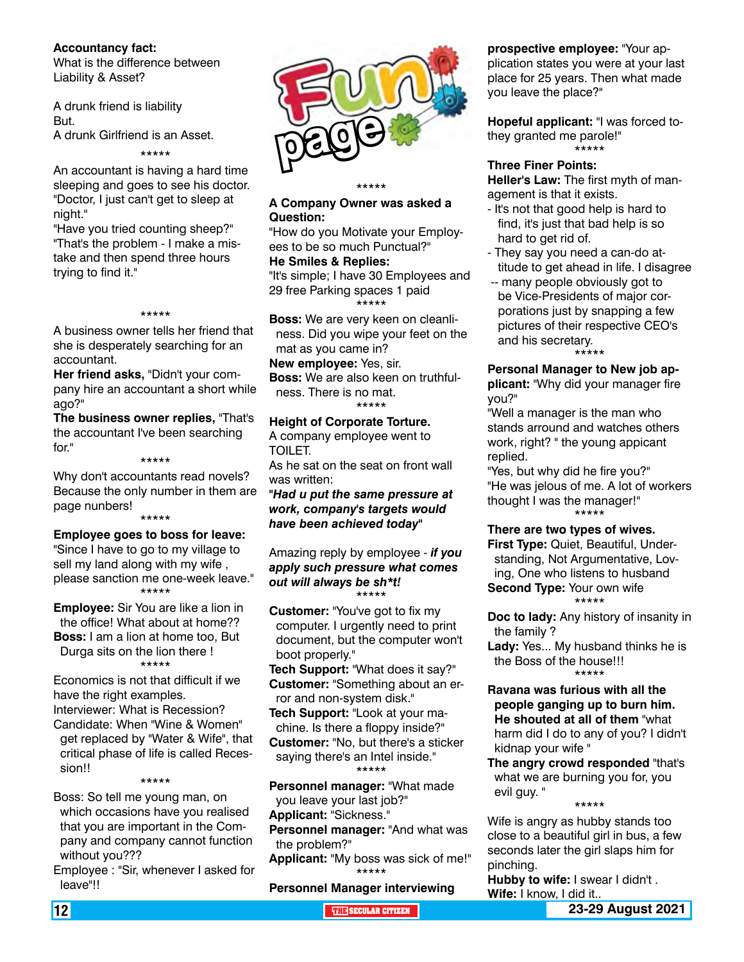#### **Accountancy fact:**

What is the difference between Liability & Asset?

A drunk friend is liability But. A drunk Girlfriend is an Asset.

\*\*\*\*\*

An accountant is having a hard time sleeping and goes to see his doctor. "Doctor, I just can't get to sleep at night."

"Have you tried counting sheep?" "That's the problem - I make a mistake and then spend three hours trying to find it."

#### \*\*\*\*\*

A business owner tells her friend that she is desperately searching for an accountant.

**Her friend asks,** "Didn't your company hire an accountant a short while ago?"

**The business owner replies,** "That's the accountant I've been searching for."

\*\*\*\*\*

Why don't accountants read novels? Because the only number in them are page nunbers! \*\*\*\*\*

**Employee goes to boss for leave:** "Since I have to go to my village to sell my land along with my wife , please sanction me one-week leave." \*\*\*\*\*

**Employee:** Sir You are like a lion in the office! What about at home?? **Boss:** I am a lion at home too, But

Durga sits on the lion there ! \*\*\*\*\*

Economics is not that difficult if we have the right examples. Interviewer: What is Recession? Candidate: When "Wine & Women" get replaced by "Water & Wife", that critical phase of life is called Recession!!

\*\*\*\*\*

Boss: So tell me young man, on which occasions have you realised that you are important in the Company and company cannot function without you???

Employee : "Sir, whenever I asked for leave"!!

![](_page_11_Picture_20.jpeg)

#### \*\*\*\*\* **A Company Owner was asked a Question:**

"How do you Motivate your Employees to be so much Punctual?"

**He Smiles & Replies:** "It's simple; I have 30 Employees and 29 free Parking spaces 1 paid \*\*\*\*\*

**Boss:** We are very keen on cleanliness. Did you wipe your feet on the mat as you came in?

**New employee:** Yes, sir.

**Boss:** We are also keen on truthfulness. There is no mat.

\*\*\*\*\*

**Height of Corporate Torture.** A company employee went to TOILET.

As he sat on the seat on front wall was written:

*"Had u put the same pressure at work, company's targets would have been achieved today"*

Amazing reply by employee - *if you apply such pressure what comes out will always be sh\*t!* \*\*\*\*\*

**Customer:** "You've got to fix my computer. I urgently need to print document, but the computer won't boot properly."

**Tech Support:** "What does it say?" **Customer:** "Something about an error and non-system disk."

**Tech Support:** "Look at your ma-

chine. Is there a floppy inside?" **Customer:** "No, but there's a sticker saying there's an Intel inside." \*\*\*\*\*

**Personnel manager:** "What made you leave your last job?" **Applicant:** "Sickness."

**Personnel manager:** "And what was the problem?"

**Applicant:** "My boss was sick of me!" \*\*\*\*\*

**Personnel Manager interviewing** 

**prospective employee:** "Your ap-

plication states you were at your last place for 25 years. Then what made you leave the place?"

**Hopeful applicant:** "I was forced tothey granted me parole!" \*\*\*\*\*

#### **Three Finer Points:**

**Heller's Law:** The first myth of management is that it exists.

- It's not that good help is hard to find, it's just that bad help is so hard to get rid of.
- They say you need a can-do attitude to get ahead in life. I disagree
- -- many people obviously got to be Vice-Presidents of major corporations just by snapping a few pictures of their respective CEO's and his secretary. \*\*\*\*\*

**Personal Manager to New job applicant:** "Why did your manager fire you?"

"Well a manager is the man who stands arround and watches others work, right? " the young appicant replied.

"Yes, but why did he fire you?" "He was jelous of me. A lot of workers thought I was the manager!" \*\*\*\*\*

**There are two types of wives.**

**First Type:** Quiet, Beautiful, Understanding, Not Argumentative, Loving, One who listens to husband **Second Type:** Your own wife \*\*\*\*\*

**Doc to lady:** Any history of insanity in the family ?

**Lady:** Yes... My husband thinks he is the Boss of the house!!! \*\*\*\*\*

#### **Ravana was furious with all the people ganging up to burn him. He shouted at all of them** "what harm did I do to any of you? I didn't kidnap your wife "

**The angry crowd responded** "that's what we are burning you for, you evil guy. "

\*\*\*\*\*

Wife is angry as hubby stands too close to a beautiful girl in bus, a few seconds later the girl slaps him for pinching.

**Hubby to wife:** I swear I didn't . **Wife:** I know, I did it..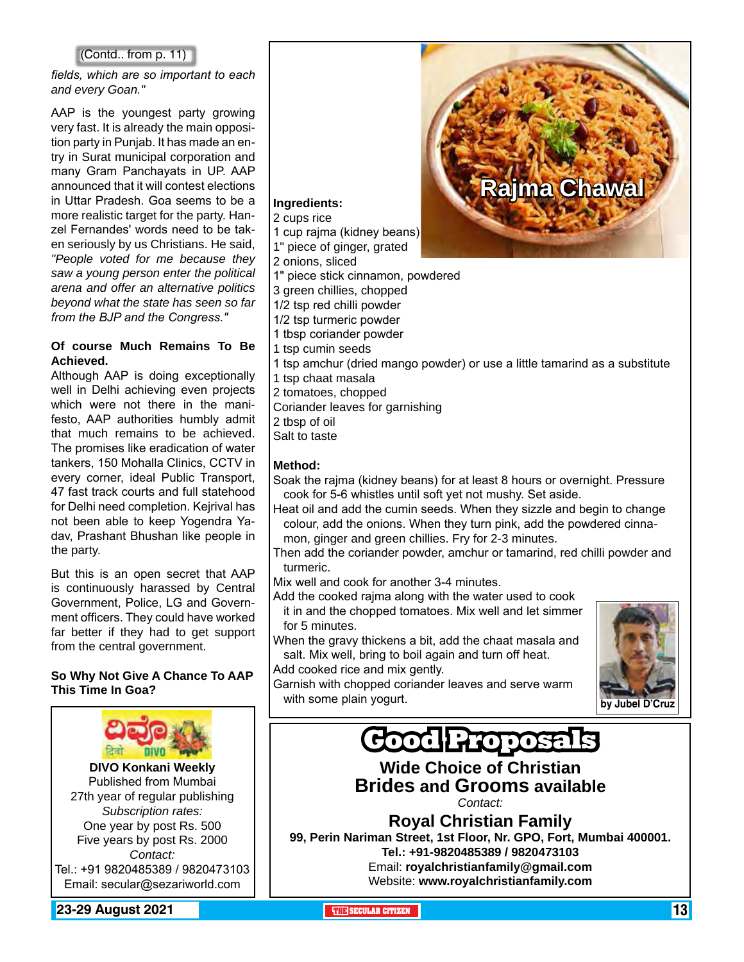#### (Contd.. from p. 11)

*fields, which are so important to each and every Goan."*

AAP is the youngest party growing very fast. It is already the main opposition party in Punjab. It has made an entry in Surat municipal corporation and many Gram Panchayats in UP. AAP announced that it will contest elections in Uttar Pradesh. Goa seems to be a more realistic target for the party. Hanzel Fernandes' words need to be taken seriously by us Christians. He said, *"People voted for me because they saw a young person enter the political arena and offer an alternative politics beyond what the state has seen so far from the BJP and the Congress."*

#### **Of course Much Remains To Be Achieved.**

Although AAP is doing exceptionally well in Delhi achieving even projects which were not there in the manifesto, AAP authorities humbly admit that much remains to be achieved. The promises like eradication of water tankers, 150 Mohalla Clinics, CCTV in every corner, ideal Public Transport, 47 fast track courts and full statehood for Delhi need completion. Kejrival has not been able to keep Yogendra Yadav, Prashant Bhushan like people in the party.

But this is an open secret that AAP is continuously harassed by Central Government, Police, LG and Government officers. They could have worked far better if they had to get support from the central government.

#### **So Why Not Give A Chance To AAP This Time In Goa?**

![](_page_12_Picture_7.jpeg)

Tel.: +91 9820485389 / 9820473103 Email: secular@sezariworld.com

**23-29 August 2021 The City of the Secular Citizen 13 THE SECULAR CITIZEN** 13 **THEFT** 13 **THEFT** 13 **THEFT** 

![](_page_12_Picture_10.jpeg)

#### **Ingredients:**

2 cups rice

- 
- 
- 
- 
- 
- 
- 
- 1 tbsp coriander powder
- 1 tsp cumin seeds
- 1 tsp amchur (dried mango powder) or use a little tamarind as a substitute
- 1 tsp chaat masala
- 2 tomatoes, chopped
- Coriander leaves for garnishing
- 2 tbsp of oil
- Salt to taste

#### **Method:**

- Soak the rajma (kidney beans) for at least 8 hours or overnight. Pressure cook for 5-6 whistles until soft yet not mushy. Set aside.
- Heat oil and add the cumin seeds. When they sizzle and begin to change colour, add the onions. When they turn pink, add the powdered cinnamon, ginger and green chillies. Fry for 2-3 minutes.
- Then add the coriander powder, amchur or tamarind, red chilli powder and turmeric.

Mix well and cook for another 3-4 minutes.

- Add the cooked rajma along with the water used to cook it in and the chopped tomatoes. Mix well and let simmer for 5 minutes.
- When the gravy thickens a bit, add the chaat masala and salt. Mix well, bring to boil again and turn off heat.

Add cooked rice and mix gently.

Garnish with chopped coriander leaves and serve warm with some plain yogurt.

![](_page_12_Picture_37.jpeg)

![](_page_12_Picture_38.jpeg)

### **Wide Choice of Christian Brides and Grooms available**

*Contact:*

**Royal Christian Family 99, Perin Nariman Street, 1st Floor, Nr. GPO, Fort, Mumbai 400001. Tel.: +91-9820485389 / 9820473103** Email: **royalchristianfamily@gmail.com** Website: **www.royalchristianfamily.com**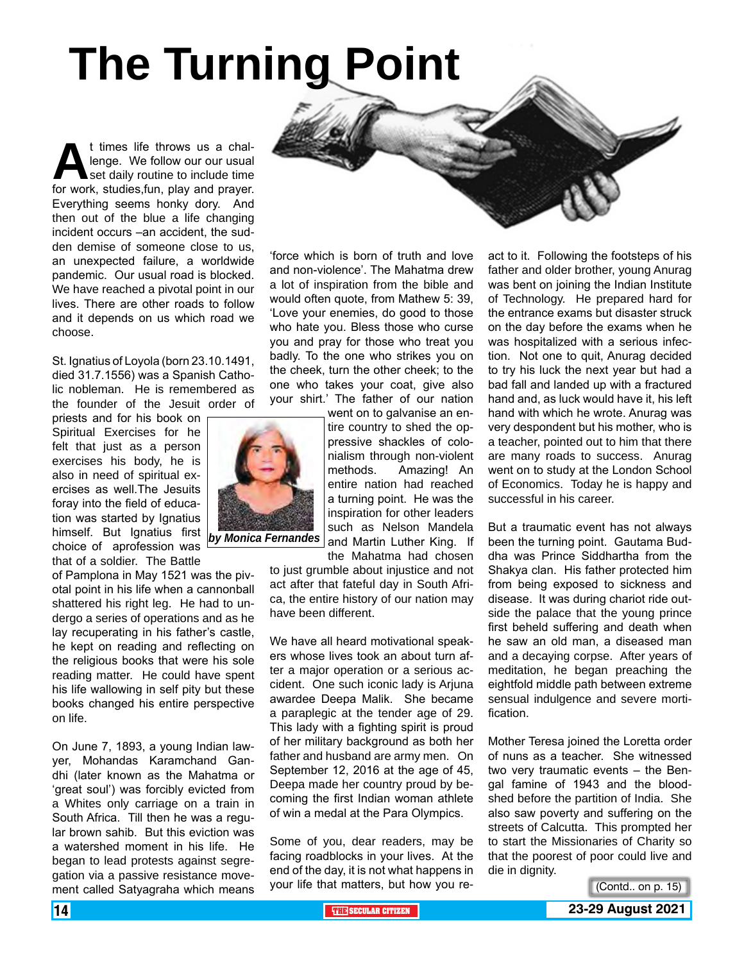# **The Turning Point**

t times life throws us a chal-<br>lenge. We follow our our usual<br>for work. studies.fun. play and prayer. lenge. We follow our our usual set daily routine to include time for work, studies,fun, play and prayer. Everything seems honky dory. And then out of the blue a life changing incident occurs –an accident, the sudden demise of someone close to us, an unexpected failure, a worldwide pandemic. Our usual road is blocked. We have reached a pivotal point in our lives. There are other roads to follow and it depends on us which road we choose.

St. Ignatius of Loyola (born 23.10.1491, died 31.7.1556) was a Spanish Catholic nobleman. He is remembered as the founder of the Jesuit order of

priests and for his book on Spiritual Exercises for he felt that just as a person exercises his body, he is also in need of spiritual exercises as well.The Jesuits foray into the field of education was started by Ignatius himself. But Ignatius first choice of aprofession was that of a soldier. The Battle

of Pamplona in May 1521 was the pivotal point in his life when a cannonball shattered his right leg. He had to undergo a series of operations and as he lay recuperating in his father's castle, he kept on reading and reflecting on the religious books that were his sole reading matter. He could have spent his life wallowing in self pity but these books changed his entire perspective on life.

On June 7, 1893, a young Indian lawyer, Mohandas Karamchand Gandhi (later known as the Mahatma or 'great soul') was forcibly evicted from a Whites only carriage on a train in South Africa. Till then he was a regular brown sahib. But this eviction was a watershed moment in his life. He began to lead protests against segregation via a passive resistance movement called Satyagraha which means

![](_page_13_Picture_6.jpeg)

'force which is born of truth and love and non-violence'. The Mahatma drew a lot of inspiration from the bible and would often quote, from Mathew 5: 39, 'Love your enemies, do good to those who hate you. Bless those who curse you and pray for those who treat you badly. To the one who strikes you on the cheek, turn the other cheek; to the one who takes your coat, give also your shirt.' The father of our nation

went on to galvanise an entire country to shed the oppressive shackles of colonialism through non-violent methods. Amazing! An entire nation had reached a turning point. He was the inspiration for other leaders such as Nelson Mandela and Martin Luther King. If

the Mahatma had chosen to just grumble about injustice and not act after that fateful day in South Africa, the entire history of our nation may have been different.

We have all heard motivational speakers whose lives took an about turn after a major operation or a serious accident. One such iconic lady is Arjuna awardee Deepa Malik. She became a paraplegic at the tender age of 29. This lady with a fighting spirit is proud of her military background as both her father and husband are army men. On September 12, 2016 at the age of 45, Deepa made her country proud by becoming the first Indian woman athlete of win a medal at the Para Olympics.

Some of you, dear readers, may be facing roadblocks in your lives. At the end of the day, it is not what happens in your life that matters, but how you react to it. Following the footsteps of his father and older brother, young Anurag was bent on joining the Indian Institute of Technology. He prepared hard for the entrance exams but disaster struck on the day before the exams when he was hospitalized with a serious infection. Not one to quit, Anurag decided to try his luck the next year but had a bad fall and landed up with a fractured hand and, as luck would have it, his left hand with which he wrote. Anurag was very despondent but his mother, who is a teacher, pointed out to him that there are many roads to success. Anurag went on to study at the London School of Economics. Today he is happy and successful in his career.

But a traumatic event has not always been the turning point. Gautama Buddha was Prince Siddhartha from the Shakya clan. His father protected him from being exposed to sickness and disease. It was during chariot ride outside the palace that the young prince first beheld suffering and death when he saw an old man, a diseased man and a decaying corpse. After years of meditation, he began preaching the eightfold middle path between extreme sensual indulgence and severe mortification.

Mother Teresa joined the Loretta order of nuns as a teacher. She witnessed two very traumatic events – the Bengal famine of 1943 and the bloodshed before the partition of India. She also saw poverty and suffering on the streets of Calcutta. This prompted her to start the Missionaries of Charity so that the poorest of poor could live and die in dignity.

(Contd.. on p. 15)

![](_page_13_Picture_16.jpeg)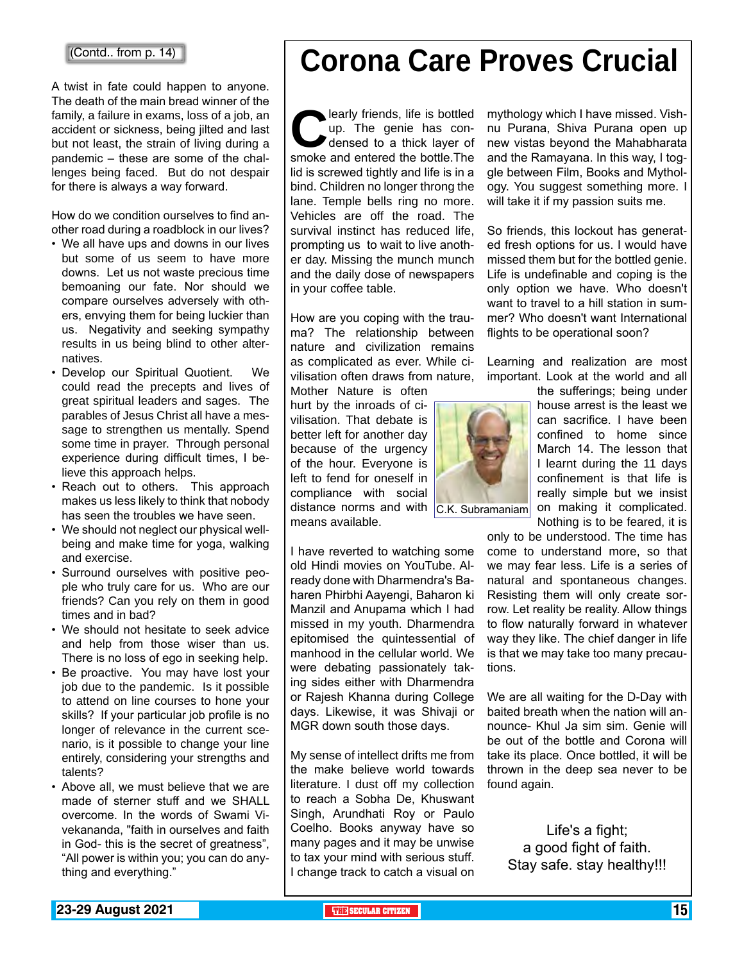A twist in fate could happen to anyone. The death of the main bread winner of the family, a failure in exams, loss of a job, an accident or sickness, being jilted and last but not least, the strain of living during a pandemic – these are some of the challenges being faced. But do not despair for there is always a way forward.

How do we condition ourselves to find another road during a roadblock in our lives?

- We all have ups and downs in our lives but some of us seem to have more downs. Let us not waste precious time bemoaning our fate. Nor should we compare ourselves adversely with others, envying them for being luckier than us. Negativity and seeking sympathy results in us being blind to other alternatives.
- Develop our Spiritual Quotient. We could read the precepts and lives of great spiritual leaders and sages. The parables of Jesus Christ all have a message to strengthen us mentally. Spend some time in prayer. Through personal experience during difficult times, I believe this approach helps.
- Reach out to others. This approach makes us less likely to think that nobody has seen the troubles we have seen.
- We should not neglect our physical wellbeing and make time for yoga, walking and exercise.
- Surround ourselves with positive people who truly care for us. Who are our friends? Can you rely on them in good times and in bad?
- We should not hesitate to seek advice and help from those wiser than us. There is no loss of ego in seeking help.
- Be proactive. You may have lost your job due to the pandemic. Is it possible to attend on line courses to hone your skills? If your particular job profile is no longer of relevance in the current scenario, is it possible to change your line entirely, considering your strengths and talents?
- Above all, we must believe that we are made of sterner stuff and we SHALL overcome. In the words of Swami Vivekananda, "faith in ourselves and faith in God- this is the secret of greatness", "All power is within you; you can do anything and everything."

## **Corona Care Proves Crucial**

learly friends, life is bottled<br>up. The genie has con-<br>densed to a thick layer of<br>smoke and entered the bottle.The up. The genie has condensed to a thick layer of lid is screwed tightly and life is in a bind. Children no longer throng the lane. Temple bells ring no more. Vehicles are off the road. The survival instinct has reduced life, prompting us to wait to live another day. Missing the munch munch and the daily dose of newspapers in your coffee table.

How are you coping with the trauma? The relationship between nature and civilization remains as complicated as ever. While civilisation often draws from nature, Mother Nature is often

hurt by the inroads of civilisation. That debate is better left for another day because of the urgency of the hour. Everyone is left to fend for oneself in compliance with social distance norms and with  $|C.K.$  Subramaniam

means available.

I have reverted to watching some old Hindi movies on YouTube. Already done with Dharmendra's Baharen Phirbhi Aayengi, Baharon ki Manzil and Anupama which I had missed in my youth. Dharmendra epitomised the quintessential of manhood in the cellular world. We were debating passionately taking sides either with Dharmendra or Rajesh Khanna during College days. Likewise, it was Shivaji or MGR down south those days.

My sense of intellect drifts me from the make believe world towards literature. I dust off my collection to reach a Sobha De, Khuswant Singh, Arundhati Roy or Paulo Coelho. Books anyway have so many pages and it may be unwise to tax your mind with serious stuff. I change track to catch a visual on mythology which I have missed. Vishnu Purana, Shiva Purana open up new vistas beyond the Mahabharata and the Ramayana. In this way, I toggle between Film, Books and Mythology. You suggest something more. I will take it if my passion suits me.

So friends, this lockout has generated fresh options for us. I would have missed them but for the bottled genie. Life is undefinable and coping is the only option we have. Who doesn't want to travel to a hill station in summer? Who doesn't want International flights to be operational soon?

Learning and realization are most important. Look at the world and all

![](_page_14_Picture_21.jpeg)

the sufferings; being under house arrest is the least we can sacrifice. I have been confined to home since March 14. The lesson that I learnt during the 11 days confinement is that life is really simple but we insist on making it complicated. Nothing is to be feared, it is

only to be understood. The time has come to understand more, so that we may fear less. Life is a series of natural and spontaneous changes. Resisting them will only create sorrow. Let reality be reality. Allow things to flow naturally forward in whatever way they like. The chief danger in life is that we may take too many precautions.

We are all waiting for the D-Day with baited breath when the nation will announce- Khul Ja sim sim. Genie will be out of the bottle and Corona will take its place. Once bottled, it will be thrown in the deep sea never to be found again.

Life's a fight; a good fight of faith. Stay safe. stay healthy!!!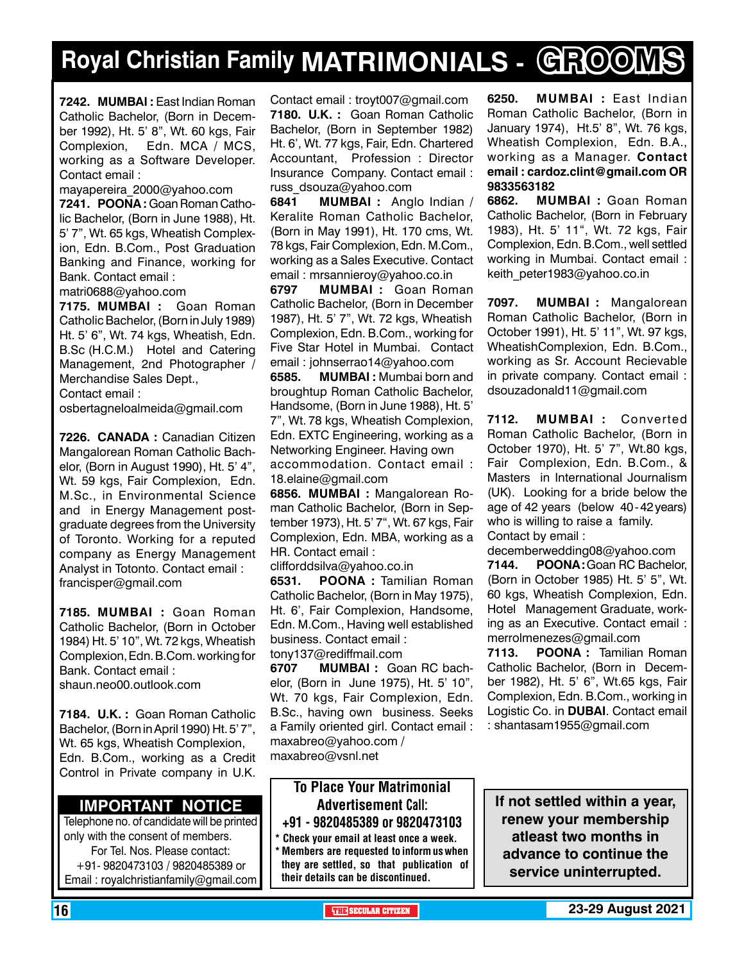### **Royal Christian Family MATRIMONIALS - GROOMS**

**7242. MUMBAI :** East Indian Roman Catholic Bachelor, (Born in December 1992), Ht. 5' 8", Wt. 60 kgs, Fair Complexion, Edn. MCA / MCS, working as a Software Developer. Contact email :

mayapereira\_2000@yahoo.com

**7241. POONA: Goan Roman Catho**lic Bachelor, (Born in June 1988), Ht. 5' 7", Wt. 65 kgs, Wheatish Complexion, Edn. B.Com., Post Graduation Banking and Finance, working for Bank. Contact email :

matri0688@yahoo.com

**7175. MUMBAI :** Goan Roman Catholic Bachelor, (Born in July 1989) Ht. 5' 6", Wt. 74 kgs, Wheatish, Edn. B.Sc (H.C.M.) Hotel and Catering Management, 2nd Photographer / Merchandise Sales Dept., Contact email :

osbertagneloalmeida@gmail.com

**7226. CANADA :** Canadian Citizen Mangalorean Roman Catholic Bachelor, (Born in August 1990), Ht. 5' 4", Wt. 59 kgs, Fair Complexion, Edn. M.Sc., in Environmental Science and in Energy Management postgraduate degrees from the University of Toronto. Working for a reputed company as Energy Management Analyst in Totonto. Contact email : francisper@gmail.com

**7185. MUMBAI :** Goan Roman Catholic Bachelor, (Born in October 1984) Ht. 5' 10", Wt. 72 kgs, Wheatish Complexion, Edn. B.Com. working for Bank. Contact email : shaun.neo00.outlook.com

**7184. U.K. :** Goan Roman Catholic Bachelor, (Born in April 1990) Ht. 5' 7", Wt. 65 kgs, Wheatish Complexion, Edn. B.Com., working as a Credit Control in Private company in U.K.

#### **Important Notice**

Telephone no. of candidate will be printed only with the consent of members. For Tel. Nos. Please contact: +91- 9820473103 / 9820485389 or Email : royalchristianfamily@gmail.com

Contact email : troyt007@gmail.com **7180. U.K. :** Goan Roman Catholic Bachelor, (Born in September 1982) Ht. 6', Wt. 77 kgs, Fair, Edn. Chartered Accountant, Profession : Director Insurance Company. Contact email : russ\_dsouza@yahoo.com

**6841 MuMBAI :** Anglo Indian / Keralite Roman Catholic Bachelor, (Born in May 1991), Ht. 170 cms, Wt. 78 kgs, Fair Complexion, Edn. M.Com., working as a Sales Executive. Contact email : mrsannieroy@yahoo.co.in

**6797 MUMBAI :** Goan Roman Catholic Bachelor, (Born in December 1987), Ht. 5' 7", Wt. 72 kgs, Wheatish Complexion, Edn. B.Com., working for Five Star Hotel in Mumbai. Contact email : johnserrao14@yahoo.com

**6585. MUMBAI :** Mumbai born and broughtup Roman Catholic Bachelor, Handsome, (Born in June 1988), Ht. 5' 7", Wt. 78 kgs, Wheatish Complexion, Edn. EXTC Engineering, working as a Networking Engineer. Having own accommodation. Contact email : 18.elaine@gmail.com

**6856. MuMBAI :** Mangalorean Roman Catholic Bachelor, (Born in September 1973), Ht. 5' 7", Wt. 67 kgs, Fair Complexion, Edn. MBA, working as a HR. Contact email :

clifforddsilva@yahoo.co.in

**6531.** POONA : Tamilian Roman Catholic Bachelor, (Born in May 1975), Ht. 6', Fair Complexion, Handsome, Edn. M.Com., Having well established business. Contact email : tony137@rediffmail.com

**6707 Mumbai :** Goan RC bachelor, (Born in June 1975), Ht. 5' 10", Wt. 70 kgs, Fair Complexion, Edn. B.Sc., having own business. Seeks a Family oriented girl. Contact email : maxabreo@yahoo.com / maxabreo@vsnl.net

#### To Place Your Matrimonial Advertisement Call: +91 - 9820485389 or 9820473103

Check your email at least once a week. Members are requested to inform us when

they are settled, so that publication of their details can be discontinued.

**6250. MUMBAI :** East Indian Roman Catholic Bachelor, (Born in January 1974), Ht.5' 8", Wt. 76 kgs, Wheatish Complexion, Edn. B.A., working as a Manager. Contact email : cardoz.clint@gmail.com OR 9833563182

**6862. MUMBAI :** Goan Roman Catholic Bachelor, (Born in February 1983), Ht. 5' 11", Wt. 72 kgs, Fair Complexion, Edn. B.Com., well settled working in Mumbai. Contact email : keith\_peter1983@yahoo.co.in

**7097. MUMBAI :** Mangalorean Roman Catholic Bachelor, (Born in October 1991), Ht. 5' 11", Wt. 97 kgs, WheatishComplexion, Edn. B.Com., working as Sr. Account Recievable in private company. Contact email : dsouzadonald11@gmail.com

**7112. MUMBAI :** Converted Roman Catholic Bachelor, (Born in October 1970), Ht. 5' 7", Wt.80 kgs, Fair Complexion, Edn. B.Com., & Masters in International Journalism (UK). Looking for a bride below the age of 42 years (below 40 - 42 years) who is willing to raise a family. Contact by email :

decemberwedding08@yahoo.com 7144. POONA: Goan RC Bachelor. (Born in October 1985) Ht. 5' 5", Wt.

60 kgs, Wheatish Complexion, Edn. Hotel Management Graduate, working as an Executive. Contact email : merrolmenezes@gmail.com

**7113. POONA :** Tamilian Roman Catholic Bachelor, (Born in December 1982), Ht. 5' 6", Wt.65 kgs, Fair Complexion, Edn. B.Com., working in Logistic Co. in **DUBAI**. Contact email : shantasam1955@gmail.com

**If not settled within a year, renew your membership atleast two months in advance to continue the service uninterrupted.**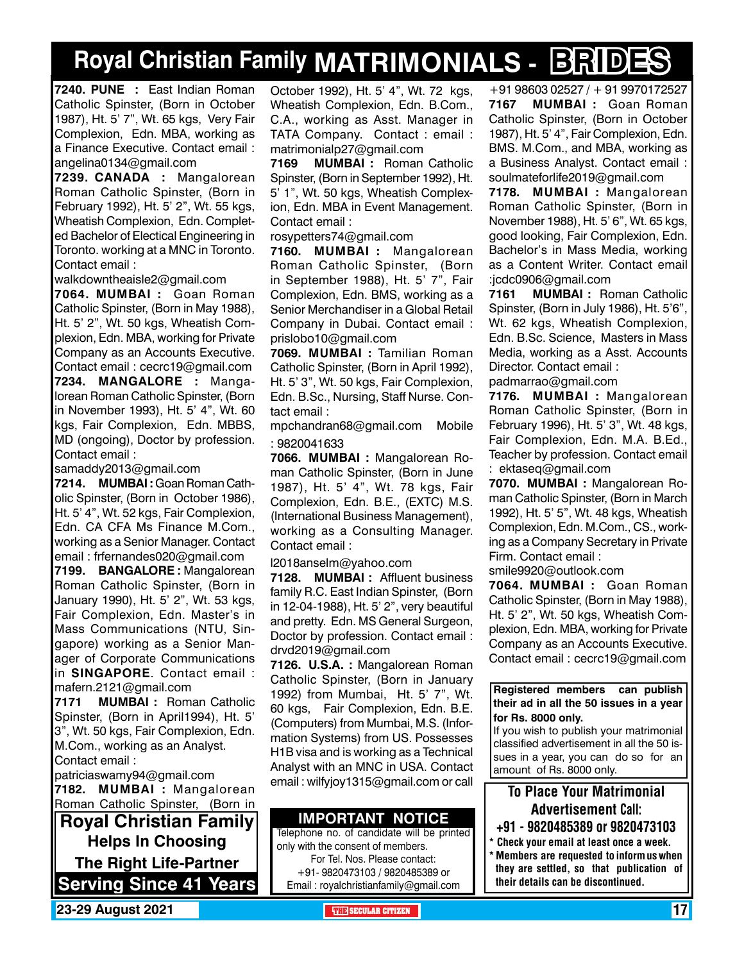## **Royal Christian Family MATRIMONIALS - BRIDES**

**7240. PUNE :** East Indian Roman Catholic Spinster, (Born in October 1987), Ht. 5' 7", Wt. 65 kgs, Very Fair Complexion, Edn. MBA, working as a Finance Executive. Contact email : angelina0134@gmail.com

**7239. CANADA :** Mangalorean Roman Catholic Spinster, (Born in February 1992), Ht. 5' 2", Wt. 55 kgs, Wheatish Complexion, Edn. Completed Bachelor of Electical Engineering in Toronto. working at a MNC in Toronto. Contact email :

walkdowntheaisle2@gmail.com

**7064. MUMBAI :** Goan Roman Catholic Spinster, (Born in May 1988), Ht. 5' 2", Wt. 50 kgs, Wheatish Complexion, Edn. MBA, working for Private Company as an Accounts Executive. Contact email : cecrc19@gmail.com **7234. MANGALORE :** Mangalorean Roman Catholic Spinster, (Born in November 1993), Ht. 5' 4", Wt. 60 kgs, Fair Complexion, Edn. MBBS, MD (ongoing), Doctor by profession. Contact email :

samaddy2013@gmail.com

**7214. MUMBAI :** Goan Roman Catholic Spinster, (Born in October 1986), Ht. 5' 4", Wt. 52 kgs, Fair Complexion, Edn. CA CFA Ms Finance M.Com., working as a Senior Manager. Contact email : frfernandes020@gmail.com

**7199. BANGALORE :** Mangalorean Roman Catholic Spinster, (Born in January 1990), Ht. 5' 2", Wt. 53 kgs, Fair Complexion, Edn. Master's in Mass Communications (NTU, Singapore) working as a Senior Manager of Corporate Communications in **SINGAPORE**. Contact email : mafern.2121@gmail.com

**7171 MUMBAI :** Roman Catholic Spinster, (Born in April1994), Ht. 5' 3", Wt. 50 kgs, Fair Complexion, Edn. M.Com., working as an Analyst. Contact email :

patriciaswamy94@gmail.com

**7182. MUMBAI :** Mangalorean Roman Catholic Spinster, (Born in

**Royal Christian Family Helps In Choosing The Right Life-Partner Serving Since 41 Years** October 1992), Ht. 5' 4", Wt. 72 kgs, Wheatish Complexion, Edn. B.Com., C.A., working as Asst. Manager in TATA Company. Contact : email : matrimonialp27@gmail.com

**7169 MUMBAI :** Roman Catholic Spinster, (Born in September 1992), Ht. 5' 1", Wt. 50 kgs, Wheatish Complexion, Edn. MBA in Event Management. Contact email :

rosypetters74@gmail.com

**7160. MUMBAI :** Mangalorean Roman Catholic Spinster, (Born in September 1988), Ht. 5' 7", Fair Complexion, Edn. BMS, working as a Senior Merchandiser in a Global Retail Company in Dubai. Contact email : prislobo10@gmail.com

**7069. MUMBAI :** Tamilian Roman Catholic Spinster, (Born in April 1992), Ht. 5' 3", Wt. 50 kgs, Fair Complexion, Edn. B.Sc., Nursing, Staff Nurse. Contact email :

mpchandran68@gmail.com Mobile : 9820041633

**7066. MUMBAI :** Mangalorean Roman Catholic Spinster, (Born in June 1987), Ht. 5' 4", Wt. 78 kgs, Fair Complexion, Edn. B.E., (EXTC) M.S. (International Business Management), working as a Consulting Manager. Contact email :

l2018anselm@yahoo.com

**7128. MUMBAI :** Affluent business family R.C. East Indian Spinster, (Born in 12-04-1988), Ht. 5' 2", very beautiful and pretty. Edn. MS General Surgeon, Doctor by profession. Contact email : drvd2019@gmail.com

**7126. U.S.A. :** Mangalorean Roman Catholic Spinster, (Born in January 1992) from Mumbai, Ht. 5' 7", Wt. 60 kgs, Fair Complexion, Edn. B.E. (Computers) from Mumbai, M.S. (Information Systems) from US. Possesses H1B visa and is working as a Technical Analyst with an MNC in USA. Contact email : wilfyjoy1315@gmail.com or call

#### **Important Notice**

Telephone no. of candidate will be printed only with the consent of members. For Tel. Nos. Please contact: +91- 9820473103 / 9820485389 or Email : royalchristianfamily@gmail.com

+91 98603 02527 / + 91 9970172527 **7167 MUMBAI :** Goan Roman Catholic Spinster, (Born in October 1987), Ht. 5' 4", Fair Complexion, Edn. BMS. M.Com., and MBA, working as a Business Analyst. Contact email : soulmateforlife2019@gmail.com

**7178. MUMBAI :** Mangalorean Roman Catholic Spinster, (Born in November 1988), Ht. 5' 6", Wt. 65 kgs, good looking, Fair Complexion, Edn. Bachelor's in Mass Media, working as a Content Writer. Contact email :jcdc0906@gmail.com

**7161 MUMBAI :** Roman Catholic Spinster, (Born in July 1986), Ht. 5'6", Wt. 62 kgs, Wheatish Complexion, Edn. B.Sc. Science, Masters in Mass Media, working as a Asst. Accounts Director. Contact email :

padmarrao@gmail.com

**7176. MUMBAI :** Mangalorean Roman Catholic Spinster, (Born in February 1996), Ht. 5' 3", Wt. 48 kgs, Fair Complexion, Edn. M.A. B.Ed., Teacher by profession. Contact email : ektaseq@gmail.com

**7070. MUMBAI :** Mangalorean Roman Catholic Spinster, (Born in March 1992), Ht. 5' 5", Wt. 48 kgs, Wheatish Complexion, Edn. M.Com., CS., working as a Company Secretary in Private Firm. Contact email :

smile9920@outlook.com

**7064. MUMBAI :** Goan Roman Catholic Spinster, (Born in May 1988), Ht. 5' 2", Wt. 50 kgs, Wheatish Complexion, Edn. MBA, working for Private Company as an Accounts Executive. Contact email : cecrc19@gmail.com

**Registered members can publish their ad in all the 50 issues in a year for Rs. 8000 only.**

If you wish to publish your matrimonial classified advertisement in all the 50 issues in a year, you can do so for an amount of Rs. 8000 only.

### To Place Your Matrimonial Advertisement Call:

- +91 9820485389 or 9820473103
- \* Check your email at least once a week. \* Members are requested to inform us when they are settled, so that publication of their details can be discontinued.

**23-29 August 2021 THE SECULAR CITIZEN** 17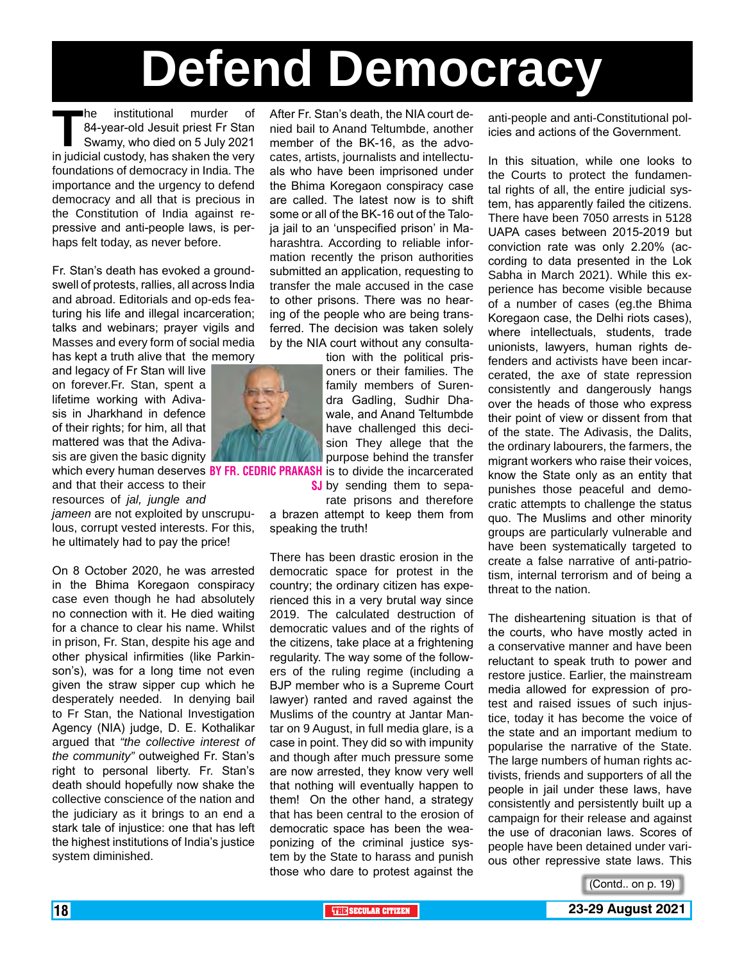# **Defend Democracy**

**The institutional murder of 84-year-old Jesuit priest Fr Stan<br>Swamy, who died on 5 July 2021<br>in iudicial custody, has shaken the very** 84-year-old Jesuit priest Fr Stan Swamy, who died on 5 July 2021 in judicial custody, has shaken the very foundations of democracy in India. The importance and the urgency to defend democracy and all that is precious in the Constitution of India against repressive and anti-people laws, is perhaps felt today, as never before.

Fr. Stan's death has evoked a groundswell of protests, rallies, all across India and abroad. Editorials and op-eds featuring his life and illegal incarceration; talks and webinars; prayer vigils and Masses and every form of social media has kept a truth alive that the memory

and legacy of Fr Stan will live on forever.Fr. Stan, spent a lifetime working with Adivasis in Jharkhand in defence of their rights; for him, all that mattered was that the Adivasis are given the basic dignity

and that their access to their resources of *jal, jungle and jameen* are not exploited by unscrupulous, corrupt vested interests. For this, he ultimately had to pay the price!

On 8 October 2020, he was arrested in the Bhima Koregaon conspiracy case even though he had absolutely no connection with it. He died waiting for a chance to clear his name. Whilst in prison, Fr. Stan, despite his age and other physical infirmities (like Parkinson's), was for a long time not even given the straw sipper cup which he desperately needed. In denying bail to Fr Stan, the National Investigation Agency (NIA) judge, D. E. Kothalikar argued that *"the collective interest of the community"* outweighed Fr. Stan's right to personal liberty. Fr. Stan's death should hopefully now shake the collective conscience of the nation and the judiciary as it brings to an end a stark tale of injustice: one that has left the highest institutions of India's justice system diminished.

After Fr. Stan's death, the NIA court denied bail to Anand Teltumbde, another member of the BK-16, as the advocates, artists, journalists and intellectuals who have been imprisoned under the Bhima Koregaon conspiracy case are called. The latest now is to shift some or all of the BK-16 out of the Taloja jail to an 'unspecified prison' in Maharashtra. According to reliable information recently the prison authorities submitted an application, requesting to transfer the male accused in the case to other prisons. There was no hearing of the people who are being transferred. The decision was taken solely by the NIA court without any consulta-

> tion with the political prisoners or their families. The family members of Surendra Gadling, Sudhir Dhawale, and Anand Teltumbde have challenged this decision They allege that the purpose behind the transfer

which every human deserves BY FR. CEDRIC PRAKASH is to divide the incarcerated

SJ by sending them to separate prisons and therefore

a brazen attempt to keep them from speaking the truth!

There has been drastic erosion in the democratic space for protest in the country; the ordinary citizen has experienced this in a very brutal way since 2019. The calculated destruction of democratic values and of the rights of the citizens, take place at a frightening regularity. The way some of the followers of the ruling regime (including a BJP member who is a Supreme Court lawyer) ranted and raved against the Muslims of the country at Jantar Mantar on 9 August, in full media glare, is a case in point. They did so with impunity and though after much pressure some are now arrested, they know very well that nothing will eventually happen to them! On the other hand, a strategy that has been central to the erosion of democratic space has been the weaponizing of the criminal justice system by the State to harass and punish those who dare to protest against the

anti-people and anti-Constitutional policies and actions of the Government.

In this situation, while one looks to the Courts to protect the fundamental rights of all, the entire judicial system, has apparently failed the citizens. There have been 7050 arrests in 5128 UAPA cases between 2015-2019 but conviction rate was only 2.20% (according to data presented in the Lok Sabha in March 2021). While this experience has become visible because of a number of cases (eg.the Bhima Koregaon case, the Delhi riots cases), where intellectuals, students, trade unionists, lawyers, human rights defenders and activists have been incarcerated, the axe of state repression consistently and dangerously hangs over the heads of those who express their point of view or dissent from that of the state. The Adivasis, the Dalits, the ordinary labourers, the farmers, the migrant workers who raise their voices, know the State only as an entity that punishes those peaceful and democratic attempts to challenge the status quo. The Muslims and other minority groups are particularly vulnerable and have been systematically targeted to create a false narrative of anti-patriotism, internal terrorism and of being a threat to the nation.

The disheartening situation is that of the courts, who have mostly acted in a conservative manner and have been reluctant to speak truth to power and restore justice. Earlier, the mainstream media allowed for expression of protest and raised issues of such injustice, today it has become the voice of the state and an important medium to popularise the narrative of the State. The large numbers of human rights activists, friends and supporters of all the people in jail under these laws, have consistently and persistently built up a campaign for their release and against the use of draconian laws. Scores of people have been detained under various other repressive state laws. This

![](_page_17_Picture_15.jpeg)

![](_page_17_Picture_17.jpeg)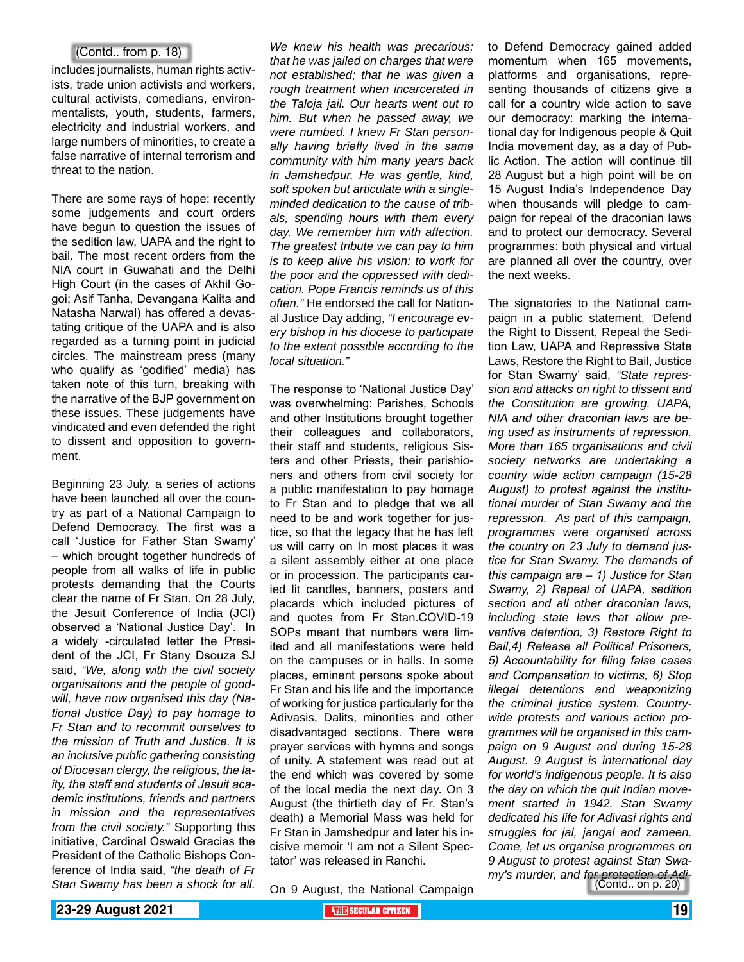#### (Contd.. from p. 18)

includes journalists, human rights activists, trade union activists and workers, cultural activists, comedians, environmentalists, youth, students, farmers, electricity and industrial workers, and large numbers of minorities, to create a false narrative of internal terrorism and threat to the nation.

There are some rays of hope: recently some judgements and court orders have begun to question the issues of the sedition law, UAPA and the right to bail. The most recent orders from the NIA court in Guwahati and the Delhi High Court (in the cases of Akhil Gogoi; Asif Tanha, Devangana Kalita and Natasha Narwal) has offered a devastating critique of the UAPA and is also regarded as a turning point in judicial circles. The mainstream press (many who qualify as 'godified' media) has taken note of this turn, breaking with the narrative of the BJP government on these issues. These judgements have vindicated and even defended the right to dissent and opposition to government.

Beginning 23 July, a series of actions have been launched all over the country as part of a National Campaign to Defend Democracy. The first was a call 'Justice for Father Stan Swamy' – which brought together hundreds of people from all walks of life in public protests demanding that the Courts clear the name of Fr Stan. On 28 July, the Jesuit Conference of India (JCI) observed a 'National Justice Day'. In a widely -circulated letter the President of the JCI, Fr Stany Dsouza SJ said, *"We, along with the civil society organisations and the people of goodwill, have now organised this day (National Justice Day) to pay homage to Fr Stan and to recommit ourselves to the mission of Truth and Justice. It is an inclusive public gathering consisting of Diocesan clergy, the religious, the laity, the staff and students of Jesuit academic institutions, friends and partners in mission and the representatives from the civil society."* Supporting this initiative, Cardinal Oswald Gracias the President of the Catholic Bishops Conference of India said, *"the death of Fr Stan Swamy has been a shock for all.* 

*We knew his health was precarious; that he was jailed on charges that were not established; that he was given a rough treatment when incarcerated in the Taloja jail. Our hearts went out to him. But when he passed away, we were numbed. I knew Fr Stan personally having briefly lived in the same community with him many years back in Jamshedpur. He was gentle, kind, soft spoken but articulate with a singleminded dedication to the cause of tribals, spending hours with them every day. We remember him with affection. The greatest tribute we can pay to him is to keep alive his vision: to work for the poor and the oppressed with dedication. Pope Francis reminds us of this often."* He endorsed the call for National Justice Day adding, *"I encourage every bishop in his diocese to participate to the extent possible according to the local situation."*

The response to 'National Justice Day' was overwhelming: Parishes, Schools and other Institutions brought together their colleagues and collaborators, their staff and students, religious Sisters and other Priests, their parishioners and others from civil society for a public manifestation to pay homage to Fr Stan and to pledge that we all need to be and work together for justice, so that the legacy that he has left us will carry on In most places it was a silent assembly either at one place or in procession. The participants caried lit candles, banners, posters and placards which included pictures of and quotes from Fr Stan.COVID-19 SOPs meant that numbers were limited and all manifestations were held on the campuses or in halls. In some places, eminent persons spoke about Fr Stan and his life and the importance of working for justice particularly for the Adivasis, Dalits, minorities and other disadvantaged sections. There were prayer services with hymns and songs of unity. A statement was read out at the end which was covered by some of the local media the next day. On 3 August (the thirtieth day of Fr. Stan's death) a Memorial Mass was held for Fr Stan in Jamshedpur and later his incisive memoir 'I am not a Silent Spectator' was released in Ranchi.

On 9 August, the National Campaign

to Defend Democracy gained added momentum when 165 movements, platforms and organisations, representing thousands of citizens give a call for a country wide action to save our democracy: marking the international day for Indigenous people & Quit India movement day, as a day of Public Action. The action will continue till 28 August but a high point will be on 15 August India's Independence Day when thousands will pledge to campaign for repeal of the draconian laws and to protect our democracy. Several programmes: both physical and virtual are planned all over the country, over the next weeks.

The signatories to the National campaign in a public statement, 'Defend the Right to Dissent, Repeal the Sedition Law, UAPA and Repressive State Laws, Restore the Right to Bail, Justice for Stan Swamy' said, *"State repression and attacks on right to dissent and the Constitution are growing. UAPA, NIA and other draconian laws are being used as instruments of repression. More than 165 organisations and civil society networks are undertaking a country wide action campaign (15-28 August) to protest against the institutional murder of Stan Swamy and the repression. As part of this campaign, programmes were organised across the country on 23 July to demand justice for Stan Swamy. The demands of this campaign are – 1) Justice for Stan Swamy, 2) Repeal of UAPA, sedition section and all other draconian laws, including state laws that allow preventive detention, 3) Restore Right to Bail,4) Release all Political Prisoners, 5) Accountability for filing false cases and Compensation to victims, 6) Stop illegal detentions and weaponizing the criminal justice system. Countrywide protests and various action programmes will be organised in this campaign on 9 August and during 15-28 August. 9 August is international day for world's indigenous people. It is also the day on which the quit Indian movement started in 1942. Stan Swamy dedicated his life for Adivasi rights and struggles for jal, jangal and zameen. Come, let us organise programmes on 9 August to protest against Stan Swamy's murder, and for protection of Adi-* (Contd.. on p. 20)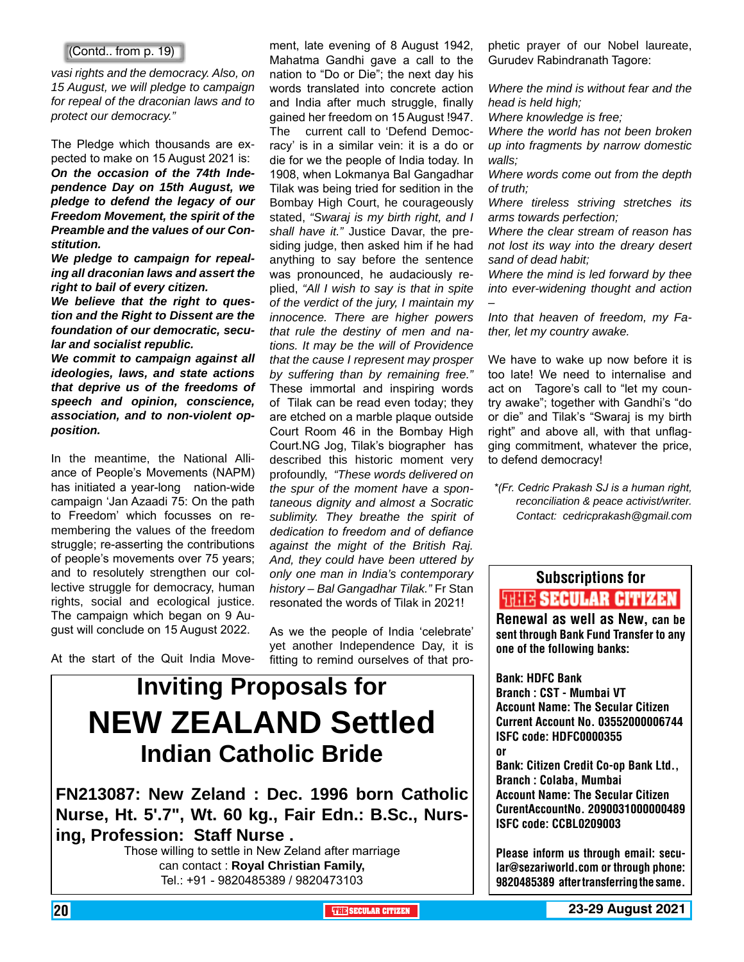#### (Contd.. from p. 19)

*vasi rights and the democracy. Also, on 15 August, we will pledge to campaign for repeal of the draconian laws and to protect our democracy."* 

The Pledge which thousands are expected to make on 15 August 2021 is: *On the occasion of the 74th Independence Day on 15th August, we pledge to defend the legacy of our Freedom Movement, the spirit of the Preamble and the values of our Constitution.* 

*We pledge to campaign for repealing all draconian laws and assert the right to bail of every citizen.* 

*We believe that the right to question and the Right to Dissent are the foundation of our democratic, secular and socialist republic.* 

*We commit to campaign against all ideologies, laws, and state actions that deprive us of the freedoms of speech and opinion, conscience, association, and to non-violent opposition.* 

In the meantime, the National Alliance of People's Movements (NAPM) has initiated a year-long nation-wide campaign 'Jan Azaadi 75: On the path to Freedom' which focusses on remembering the values of the freedom struggle; re-asserting the contributions of people's movements over 75 years; and to resolutely strengthen our collective struggle for democracy, human rights, social and ecological justice. The campaign which began on 9 August will conclude on 15 August 2022.

At the start of the Quit India Move-

ment, late evening of 8 August 1942, Mahatma Gandhi gave a call to the nation to "Do or Die"; the next day his words translated into concrete action and India after much struggle, finally gained her freedom on 15 August !947. The current call to 'Defend Democracy' is in a similar vein: it is a do or die for we the people of India today. In 1908, when Lokmanya Bal Gangadhar Tilak was being tried for sedition in the Bombay High Court, he courageously stated, *"Swaraj is my birth right, and I shall have it."* Justice Davar, the presiding judge, then asked him if he had anything to say before the sentence was pronounced, he audaciously replied, *"All I wish to say is that in spite of the verdict of the jury, I maintain my innocence. There are higher powers that rule the destiny of men and nations. It may be the will of Providence that the cause I represent may prosper by suffering than by remaining free."* These immortal and inspiring words of Tilak can be read even today; they are etched on a marble plaque outside Court Room 46 in the Bombay High Court.NG Jog, Tilak's biographer has described this historic moment very profoundly, *"These words delivered on the spur of the moment have a spontaneous dignity and almost a Socratic sublimity. They breathe the spirit of dedication to freedom and of defiance against the might of the British Raj. And, they could have been uttered by only one man in India's contemporary history – Bal Gangadhar Tilak."* Fr Stan resonated the words of Tilak in 2021!

As we the people of India 'celebrate' yet another Independence Day, it is fitting to remind ourselves of that pro-

### **Inviting Proposals for NEW ZEALAND Settled Indian Catholic Bride**

**FN213087: New Zeland : Dec. 1996 born Catholic Nurse, Ht. 5'.7", Wt. 60 kg., Fair Edn.: B.Sc., Nursing, Profession: Staff Nurse .**

Those willing to settle in New Zeland after marriage can contact : **Royal Christian Family,**  Tel.: +91 - 9820485389 / 9820473103

phetic prayer of our Nobel laureate, Gurudev Rabindranath Tagore:

*Where the mind is without fear and the head is held high;*

*Where knowledge is free;*

*Where the world has not been broken up into fragments by narrow domestic walls;*

*Where words come out from the depth of truth;*

*Where tireless striving stretches its arms towards perfection;*

*Where the clear stream of reason has not lost its way into the dreary desert sand of dead habit;*

*Where the mind is led forward by thee into ever-widening thought and action –*

*Into that heaven of freedom, my Father, let my country awake.*

We have to wake up now before it is too late! We need to internalise and act on Tagore's call to "let my country awake"; together with Gandhi's "do or die" and Tilak's "Swaraj is my birth right" and above all, with that unflagging commitment, whatever the price, to defend democracy!

*\*(Fr. Cedric Prakash SJ is a human right, reconciliation & peace activist/writer. Contact: cedricprakash@gmail.com*

### Subscriptions for **THIT'S SECULAR CITIZEN**<br>Renewal as well as New, can be

sent through Bank Fund Transfer to any one of the following banks:

Bank: HDFC Bank Branch : CST - Mumbai VT Account Name: The Secular Citizen Current Account No. 03552000006744 ISFC code: HDFC0000355 or Bank: Citizen Credit Co-op Bank Ltd., Branch : Colaba, Mumbai Account Name: The Secular Citizen CurentAccountNo. 2090031000000489

ISFC code: CCBL0209003

Please inform us through email: secular@sezariworld.com or through phone: 9820485389 after transferring the same.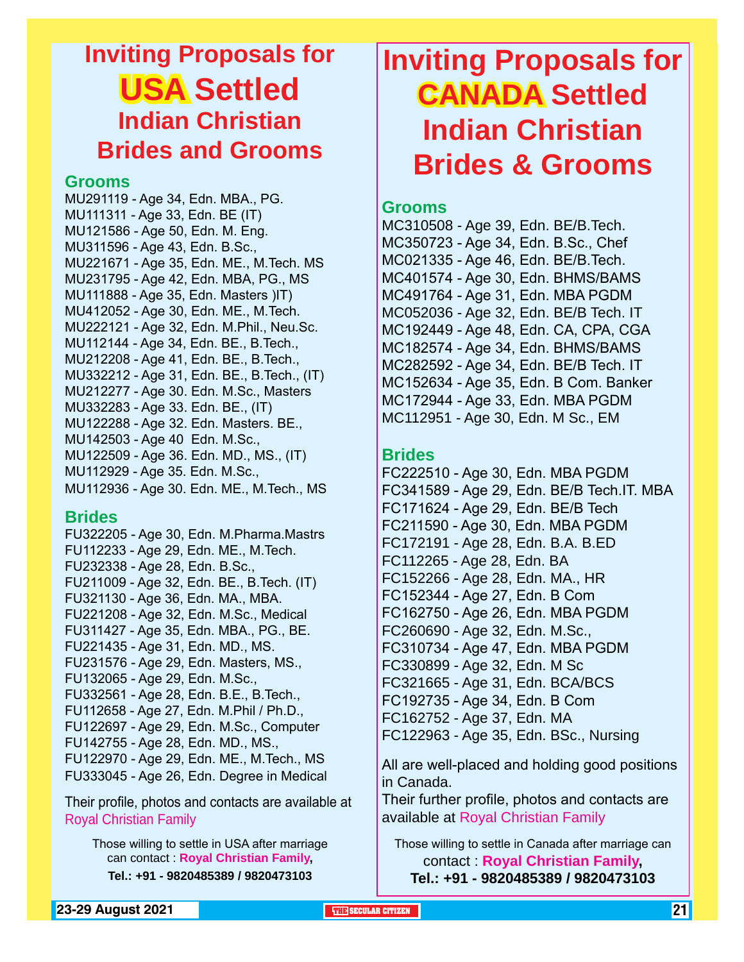### **Inviting Proposals for USA Settled Indian Christian Brides and Grooms**

#### **Grooms**

MU291119 - Age 34, Edn. MBA., PG. MU111311 - Age 33, Edn. BE (IT) MU121586 - Age 50, Edn. M. Eng. MU311596 - Age 43, Edn. B.Sc., MU221671 - Age 35, Edn. ME., M.Tech. MS MU231795 - Age 42, Edn. MBA, PG., MS MU111888 - Age 35, Edn. Masters )IT) MU412052 - Age 30, Edn. ME., M.Tech. MU222121 - Age 32, Edn. M.Phil., Neu.Sc. MU112144 - Age 34, Edn. BE., B.Tech., MU212208 - Age 41, Edn. BE., B.Tech., MU332212 - Age 31, Edn. BE., B.Tech., (IT) MU212277 - Age 30. Edn. M.Sc., Masters MU332283 - Age 33. Edn. BE., (IT) MU122288 - Age 32. Edn. Masters. BE., MU142503 - Age 40 Edn. M.Sc., MU122509 - Age 36. Edn. MD., MS., (IT) MU112929 - Age 35. Edn. M.Sc., MU112936 - Age 30. Edn. ME., M.Tech., MS

#### **Brides**

FU322205 - Age 30, Edn. M.Pharma.Mastrs FU112233 - Age 29, Edn. ME., M.Tech. FU232338 - Age 28, Edn. B.Sc., FU211009 - Age 32, Edn. BE., B.Tech. (IT) FU321130 - Age 36, Edn. MA., MBA. FU221208 - Age 32, Edn. M.Sc., Medical FU311427 - Age 35, Edn. MBA., PG., BE. FU221435 - Age 31, Edn. MD., MS. FU231576 - Age 29, Edn. Masters, MS., FU132065 - Age 29, Edn. M.Sc., FU332561 - Age 28, Edn. B.E., B.Tech., FU112658 - Age 27, Edn. M.Phil / Ph.D., FU122697 - Age 29, Edn. M.Sc., Computer FU142755 - Age 28, Edn. MD., MS., FU122970 - Age 29, Edn. ME., M.Tech., MS FU333045 - Age 26, Edn. Degree in Medical

Their profile, photos and contacts are available at Royal Christian Family

Those willing to settle in USA after marriage can contact : **Royal Christian Family, Tel.: +91 - 9820485389 / 9820473103**

### **Inviting Proposals for CANADA Settled Indian Christian Brides & Grooms**

#### **Grooms**

MC310508 - Age 39, Edn. BE/B.Tech. MC350723 - Age 34, Edn. B.Sc., Chef MC021335 - Age 46, Edn. BE/B.Tech. MC401574 - Age 30, Edn. BHMS/BAMS MC491764 - Age 31, Edn. MBA PGDM MC052036 - Age 32, Edn. BE/B Tech. IT MC192449 - Age 48, Edn. CA, CPA, CGA MC182574 - Age 34, Edn. BHMS/BAMS MC282592 - Age 34, Edn. BE/B Tech. IT MC152634 - Age 35, Edn. B Com. Banker MC172944 - Age 33, Edn. MBA PGDM MC112951 - Age 30, Edn. M Sc., EM

#### **Brides**

FC222510 - Age 30, Edn. MBA PGDM FC341589 - Age 29, Edn. BE/B Tech.IT. MBA FC171624 - Age 29, Edn. BE/B Tech FC211590 - Age 30, Edn. MBA PGDM FC172191 - Age 28, Edn. B.A. B.ED FC112265 - Age 28, Edn. BA FC152266 - Age 28, Edn. MA., HR FC152344 - Age 27, Edn. B Com FC162750 - Age 26, Edn. MBA PGDM FC260690 - Age 32, Edn. M.Sc., FC310734 - Age 47, Edn. MBA PGDM FC330899 - Age 32, Edn. M Sc FC321665 - Age 31, Edn. BCA/BCS FC192735 - Age 34, Edn. B Com FC162752 - Age 37, Edn. MA FC122963 - Age 35, Edn. BSc., Nursing

All are well-placed and holding good positions in Canada.

Their further profile, photos and contacts are available at Royal Christian Family

Those willing to settle in Canada after marriage can contact : **Royal Christian Family, Tel.: +91 - 9820485389 / 9820473103**